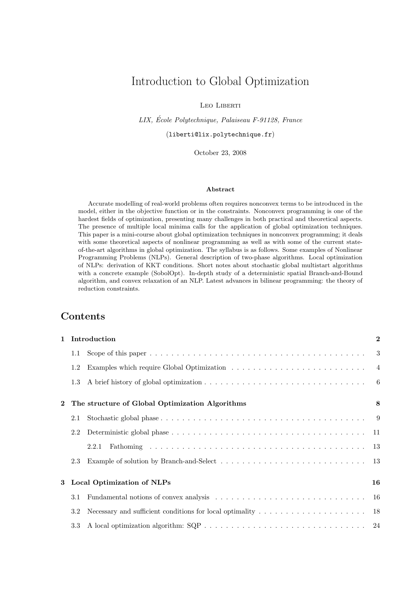# Introduction to Global Optimization

Leo Liberti

LIX, Ecole Polytechnique, Palaiseau F-91128, France ´ (liberti@lix.polytechnique.fr)

October 23, 2008

#### Abstract

Accurate modelling of real-world problems often requires nonconvex terms to be introduced in the model, either in the objective function or in the constraints. Nonconvex programming is one of the hardest fields of optimization, presenting many challenges in both practical and theoretical aspects. The presence of multiple local minima calls for the application of global optimization techniques. This paper is a mini-course about global optimization techniques in nonconvex programming; it deals with some theoretical aspects of nonlinear programming as well as with some of the current stateof-the-art algorithms in global optimization. The syllabus is as follows. Some examples of Nonlinear Programming Problems (NLPs). General description of two-phase algorithms. Local optimization of NLPs: derivation of KKT conditions. Short notes about stochastic global multistart algorithms with a concrete example (SobolOpt). In-depth study of a deterministic spatial Branch-and-Bound algorithm, and convex relaxation of an NLP. Latest advances in bilinear programming: the theory of reduction constraints.

## Contents

| $\mathbf{1}$   | Introduction                     |                                                 |  |  |  |
|----------------|----------------------------------|-------------------------------------------------|--|--|--|
|                | 1.1                              |                                                 |  |  |  |
|                | 1.2                              |                                                 |  |  |  |
|                | 1.3                              |                                                 |  |  |  |
| $\overline{2}$ |                                  | The structure of Global Optimization Algorithms |  |  |  |
|                | 2.1                              |                                                 |  |  |  |
|                | 2.2                              |                                                 |  |  |  |
|                |                                  | 2.2.1                                           |  |  |  |
|                | 2.3                              |                                                 |  |  |  |
| 3              | Local Optimization of NLPs<br>16 |                                                 |  |  |  |
|                | 3.1                              |                                                 |  |  |  |
|                | 3.2                              |                                                 |  |  |  |
|                | 3.3                              |                                                 |  |  |  |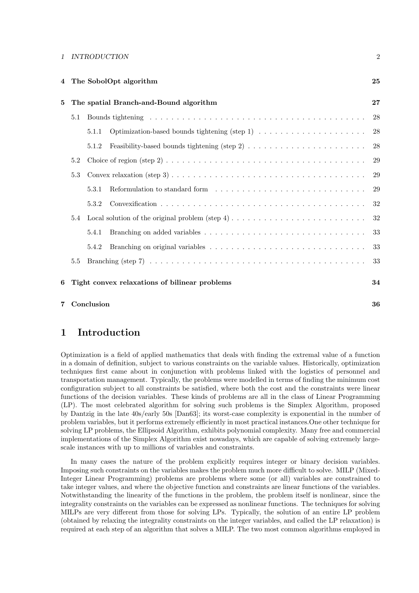| 4 | The SobolOpt algorithm                                                                                                         |                                        |                                                                                                                        |        |  |
|---|--------------------------------------------------------------------------------------------------------------------------------|----------------------------------------|------------------------------------------------------------------------------------------------------------------------|--------|--|
| 5 |                                                                                                                                | The spatial Branch-and-Bound algorithm |                                                                                                                        |        |  |
|   | 5.1                                                                                                                            | 28                                     |                                                                                                                        |        |  |
|   |                                                                                                                                | 5.1.1                                  | Optimization-based bounds tightening (step 1) $\ldots \ldots \ldots \ldots \ldots \ldots$                              | 28     |  |
|   |                                                                                                                                | 5.1.2                                  | Feasibility-based bounds tightening (step 2) $\ldots \ldots \ldots \ldots \ldots \ldots \ldots$                        | 28     |  |
|   | 5.2                                                                                                                            |                                        | Choice of region (step 2) $\ldots \ldots \ldots \ldots \ldots \ldots \ldots \ldots \ldots \ldots \ldots \ldots \ldots$ | 29     |  |
|   | Convex relaxation (step 3) $\ldots \ldots \ldots \ldots \ldots \ldots \ldots \ldots \ldots \ldots \ldots \ldots \ldots$<br>5.3 |                                        |                                                                                                                        | 29     |  |
|   |                                                                                                                                | 5.3.1                                  |                                                                                                                        | 29     |  |
|   |                                                                                                                                | 5.3.2                                  |                                                                                                                        | 32     |  |
|   | 5.4                                                                                                                            |                                        |                                                                                                                        | $32\,$ |  |
|   |                                                                                                                                | 5.4.1                                  |                                                                                                                        | 33     |  |
|   |                                                                                                                                | 5.4.2                                  |                                                                                                                        | 33     |  |
|   | 5.5                                                                                                                            |                                        |                                                                                                                        | 33     |  |
| 6 | Tight convex relaxations of bilinear problems<br>34                                                                            |                                        |                                                                                                                        |        |  |
| 7 |                                                                                                                                | Conclusion                             |                                                                                                                        | 36     |  |

## 1 Introduction

Optimization is a field of applied mathematics that deals with finding the extremal value of a function in a domain of definition, subject to various constraints on the variable values. Historically, optimization techniques first came about in conjunction with problems linked with the logistics of personnel and transportation management. Typically, the problems were modelled in terms of finding the minimum cost configuration subject to all constraints be satisfied, where both the cost and the constraints were linear functions of the decision variables. These kinds of problems are all in the class of Linear Programming (LP). The most celebrated algorithm for solving such problems is the Simplex Algorithm, proposed by Dantzig in the late 40s/early 50s [Dan63]; its worst-case complexity is exponential in the number of problem variables, but it performs extremely efficiently in most practical instances.One other technique for solving LP problems, the Ellipsoid Algorithm, exhibits polynomial complexity. Many free and commercial implementations of the Simplex Algorithm exist nowadays, which are capable of solving extremely largescale instances with up to millions of variables and constraints.

In many cases the nature of the problem explicitly requires integer or binary decision variables. Imposing such constraints on the variables makes the problem much more difficult to solve. MILP (Mixed-Integer Linear Programming) problems are problems where some (or all) variables are constrained to take integer values, and where the objective function and constraints are linear functions of the variables. Notwithstanding the linearity of the functions in the problem, the problem itself is nonlinear, since the integrality constraints on the variables can be expressed as nonlinear functions. The techniques for solving MILPs are very different from those for solving LPs. Typically, the solution of an entire LP problem (obtained by relaxing the integrality constraints on the integer variables, and called the LP relaxation) is required at each step of an algorithm that solves a MILP. The two most common algorithms employed in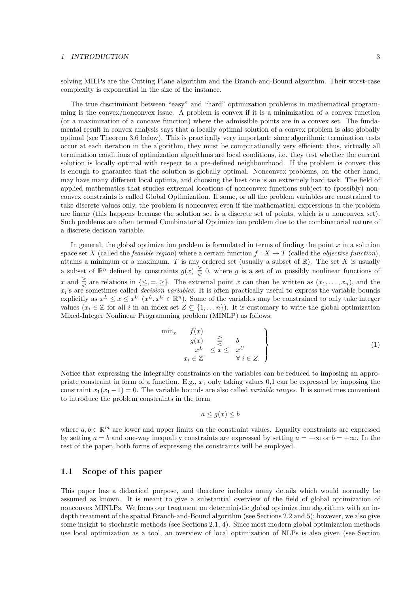solving MILPs are the Cutting Plane algorithm and the Branch-and-Bound algorithm. Their worst-case complexity is exponential in the size of the instance.

The true discriminant between "easy" and "hard" optimization problems in mathematical programming is the convex/nonconvex issue. A problem is convex if it is a minimization of a convex function (or a maximization of a concave function) where the admissible points are in a convex set. The fundamental result in convex analysis says that a locally optimal solution of a convex problem is also globally optimal (see Theorem 3.6 below). This is practically very important: since algorithmic termination tests occur at each iteration in the algorithm, they must be computationally very efficient; thus, virtually all termination conditions of optimization algorithms are local conditions, i.e. they test whether the current solution is locally optimal with respect to a pre-defined neighbourhood. If the problem is convex this is enough to guarantee that the solution is globally optimal. Nonconvex problems, on the other hand, may have many different local optima, and choosing the best one is an extremely hard task. The field of applied mathematics that studies extremal locations of nonconvex functions subject to (possibly) nonconvex constraints is called Global Optimization. If some, or all the problem variables are constrained to take discrete values only, the problem is nonconvex even if the mathematical expressions in the problem are linear (this happens because the solution set is a discrete set of points, which is a nonconvex set). Such problems are often termed Combinatorial Optimization problem due to the combinatorial nature of a discrete decision variable.

In general, the global optimization problem is formulated in terms of finding the point  $x$  in a solution space set X (called the *feasible region*) where a certain function  $f: X \to T$  (called the *objective function*), attains a minimum or a maximum. T is any ordered set (usually a subset of  $\mathbb{R}$ ). The set X is usually a subset of  $\mathbb{R}^n$  defined by constraints  $g(x) \geq 0$ , where g is a set of m possibly nonlinear functions of x and  $\geq$  are relations in  $\{\leq, =, \geq\}$ . The extremal point x can then be written as  $(x_1, \ldots, x_n)$ , and the  $x_i$ 's are sometimes called *decision variables*. It is often practically useful to express the variable bounds explicitly as  $x^L \leq x \leq x^U$   $(x^L, x^U \in \mathbb{R}^n)$ . Some of the variables may be constrained to only take integer values ( $x_i \in \mathbb{Z}$  for all i in an index set  $Z \subseteq \{1, \ldots n\}$ ). It is customary to write the global optimization Mixed-Integer Nonlinear Programming problem (MINLP) as follows:

$$
\begin{array}{ccc}\n\min_{x} & f(x) & \geq & b \\
g(x) & \geq & b & \\
x^{L} & \leq x \leq & x^{U} \\
x_{i} \in \mathbb{Z} & \forall i \in Z.\n\end{array}
$$
\n(1)

Notice that expressing the integrality constraints on the variables can be reduced to imposing an appropriate constraint in form of a function. E.g.,  $x_1$  only taking values 0,1 can be expressed by imposing the constraint  $x_1(x_1-1)=0$ . The variable bounds are also called *variable ranges*. It is sometimes convenient to introduce the problem constraints in the form

$$
a \le g(x) \le b
$$

where  $a, b \in \mathbb{R}^m$  are lower and upper limits on the constraint values. Equality constraints are expressed by setting  $a = b$  and one-way inequality constraints are expressed by setting  $a = -\infty$  or  $b = +\infty$ . In the rest of the paper, both forms of expressing the constraints will be employed.

#### 1.1 Scope of this paper

This paper has a didactical purpose, and therefore includes many details which would normally be assumed as known. It is meant to give a substantial overview of the field of global optimization of nonconvex MINLPs. We focus our treatment on deterministic global optimization algorithms with an indepth treatment of the spatial Branch-and-Bound algorithm (see Sections 2.2 and 5); however, we also give some insight to stochastic methods (see Sections 2.1, 4). Since most modern global optimization methods use local optimization as a tool, an overview of local optimization of NLPs is also given (see Section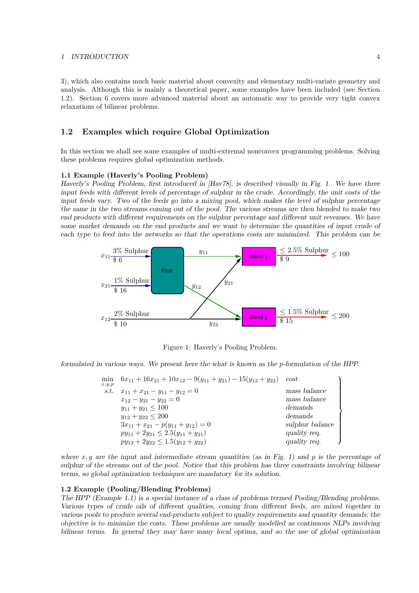3), which also contains much basic material about convexity and elementary multi-variate geometry and analysis. Although this is mainly a theoretical paper, some examples have been included (see Section 1.2). Section 6 covers more advanced material about an automatic way to provide very tight convex relaxations of bilinear problems.

### 1.2 Examples which require Global Optimization

In this section we shall see some examples of multi-extremal nonconvex programming problems. Solving these problems requires global optimization methods.

#### 1.1 Example (Haverly's Pooling Problem)

Haverly's Pooling Problem, first introduced in [Hav78], is described visually in Fig. 1. We have three input feeds with different levels of percentage of sulphur in the crude. Accordingly, the unit costs of the input feeds vary. Two of the feeds go into a mixing pool, which makes the level of sulphur percentage the same in the two streams coming out of the pool. The various streams are then blended to make two end products with different requirements on the sulphur percentage and different unit revenues. We have some market demands on the end products and we want to determine the quantities of input crude of each type to feed into the networks so that the operations costs are minimized. This problem can be



Figure 1: Haverly's Pooling Problem.

formulated in various ways. We present here the what is known as the p-formulation of the HPP.

| min<br>x,y,p | $6x_{11} + 16x_{21} + 10x_{12} - 9(y_{11} + y_{21}) - 15(y_{12} + y_{22})$ | cost            |
|--------------|----------------------------------------------------------------------------|-----------------|
| s.t.         | $x_{11} + x_{21} - y_{11} - y_{12} = 0$                                    | mass balance    |
|              | $x_{12} - y_{21} - y_{22} = 0$                                             | mass balance    |
|              | $y_{11} + y_{21} \le 100$                                                  | demands         |
|              | $y_{12} + y_{22} \leq 200$                                                 | demands         |
|              | $3x_{11} + x_{21} - p(y_{11} + y_{12}) = 0$                                | sulphur balance |
|              | $py_{11} + 2y_{21} \leq 2.5(y_{11} + y_{21})$                              | quality req.    |
|              | $py_{12} + 2y_{22} \le 1.5(y_{12} + y_{22})$                               | quality req.    |
|              |                                                                            |                 |

where  $x, y$  are the input and intermediate stream quantities (as in Fig. 1) and p is the percentage of sulphur of the streams out of the pool. Notice that this problem has three constraints involving bilinear terms, so global optimization techniques are mandatory for its solution.

#### 1.2 Example (Pooling/Blending Problems)

The HPP (Example 1.1) is a special instance of a class of problems termed Pooling/Blending problems. Various types of crude oils of different qualities, coming from different feeds, are mixed together in various pools to produce several end-products subject to quality requirements and quantity demands; the objective is to minimize the costs. These problems are usually modelled as continuous NLPs involving bilinear terms. In general they may have many local optima, and so the use of global optimization

 $\mathcal{L}$ 

 $\overline{\mathcal{L}}$ 

 $\begin{array}{c} \end{array}$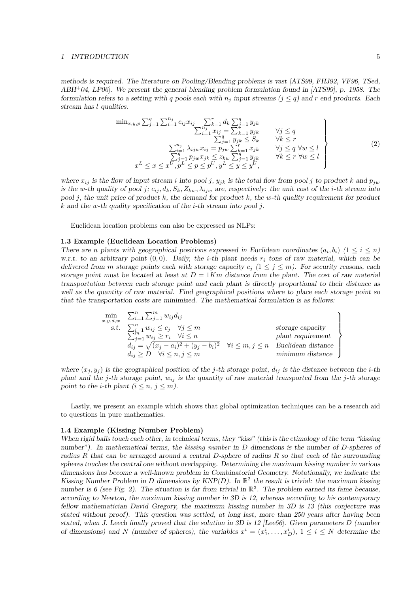methods is required. The literature on Pooling/Blending problems is vast [ATS99, FHJ92, VF96, TSed, ABH<sup>+</sup>04, LP06]. We present the general blending problem formulation found in [ATS99], p. 1958. The formulation refers to a setting with q pools each with  $n_j$  input streams  $(j \leq q)$  and r end products. Each stream has l qualities.

$$
\min_{x,y,p} \sum_{j=1}^{q} \sum_{i=1}^{n_j} c_{ij} x_{ij} - \sum_{k=1}^{r} d_k \sum_{j=1}^{q} y_{jk}
$$
\n
$$
\sum_{i=1}^{n_j} x_{ij} = \sum_{k=1}^{r} y_{jk}
$$
\n
$$
\sum_{j=1}^{q} y_{jk} \leq S_k
$$
\n
$$
\sum_{j=1}^{n_j} \lambda_{ijw} x_{ij} = p_{jw} \sum_{k=1}^{r} x_{jk}
$$
\n
$$
\sum_{j=1}^{q} p_{jw} x_{jk} \leq z_{kw} \sum_{j=1}^{q} y_{jk}
$$
\n
$$
\forall j \leq q \forall w \leq l
$$
\n
$$
\sum_{j=1}^{q} p_{jw} x_{jk} \leq z_{kw} \sum_{j=1}^{q} y_{jk}
$$
\n
$$
\forall k \leq r \forall w \leq l
$$
\n
$$
x^L \leq x \leq x^U, p^L \leq p \leq p^U, y^L \leq y \leq y^U,
$$
\n
$$
(2)
$$

where  $x_{ij}$  is the flow of input stream i into pool j,  $y_{jk}$  is the total flow from pool j to product k and  $p_{jw}$ is the w-th quality of pool j;  $c_{ij}$ ,  $d_k$ ,  $S_k$ ,  $Z_{kw}$ ,  $\lambda_{ijw}$  are, respectively: the unit cost of the *i*-th stream into pool j, the unit price of product k, the demand for product k, the w-th quality requirement for product k and the w-th quality specification of the *i*-th stream into pool *j*.

Euclidean location problems can also be expressed as NLPs:

#### 1.3 Example (Euclidean Location Problems)

There are n plants with geographical positions expressed in Euclidean coordinates  $(a_i, b_i)$   $(1 \leq i \leq n)$ w.r.t. to an arbitrary point  $(0, 0)$ . Daily, the *i*-th plant needs  $r_i$  tons of raw material, which can be delivered from m storage points each with storage capacity  $c_j$  ( $1 \le j \le m$ ). For security reasons, each storage point must be located at least at  $D = 1Km$  distance from the plant. The cost of raw material transportation between each storage point and each plant is directly proportional to their distance as well as the quantity of raw material. Find geographical positions where to place each storage point so that the transportation costs are minimized. The mathematical formulation is as follows:

$$
\begin{array}{ll}\n\min_{x,y,d,w} & \sum_{i=1}^{n} \sum_{j=1}^{m} w_{ij} d_{ij} \\
\text{s.t.} & \sum_{j=1}^{n} w_{ij} \leq c_j \quad \forall j \leq m \\
& \sum_{j=1}^{n} w_{ij} \geq r_i \quad \forall i \leq n \\
d_{ij} = \sqrt{(x_j - a_i)^2 + (y_j - b_i)^2} \quad \forall i \leq m, j \leq n \\
d_{ij} \geq D \quad \forall i \leq n, j \leq m\n\end{array}\n\right\} \quad \text{storage capacity} \quad \text{planet}
$$
\n
$$
\text{plant requirement} \quad d_{ij} \geq \sqrt{(x_j - a_i)^2 + (y_j - b_i)^2} \quad \forall i \leq m, j \leq n \quad \text{Euclidean distance} \quad \text{minimum distance}
$$

where  $(x_j, y_j)$  is the geographical position of the j-th storage point,  $d_{ij}$  is the distance between the *i*-th plant and the j-th storage point,  $w_{ij}$  is the quantity of raw material transported from the j-th storage point to the *i*-th plant  $(i \leq n, j \leq m)$ .

Lastly, we present an example which shows that global optimization techniques can be a research aid to questions in pure mathematics.

#### 1.4 Example (Kissing Number Problem)

When rigid balls touch each other, in technical terms, they "kiss" (this is the etimology of the term "kissing") number"). In mathematical terms, the kissing number in D dimensions is the number of D-spheres of radius R that can be arranged around a central D-sphere of radius R so that each of the surrounding spheres touches the central one without overlapping. Determining the maximum kissing number in various dimensions has become a well-known problem in Combinatorial Geometry. Notationally, we indicate the Kissing Number Problem in D dimensions by  $KNP(D)$ . In  $\mathbb{R}^2$  the result is trivial: the maximum kissing number is 6 (see Fig. 2). The situation is far from trivial in  $\mathbb{R}^3$ . The problem earned its fame because, according to Newton, the maximum kissing number in 3D is 12, whereas according to his contemporary fellow mathematician David Gregory, the maximum kissing number in 3D is 13 (this conjecture was stated without proof). This question was settled, at long last, more than 250 years after having been stated, when J. Leech finally proved that the solution in 3D is 12 [Lee56]. Given parameters  $D$  (number of dimensions) and N (number of spheres), the variables  $x^i = (x_1^i, \ldots, x_D^i)$ ,  $1 \le i \le N$  determine the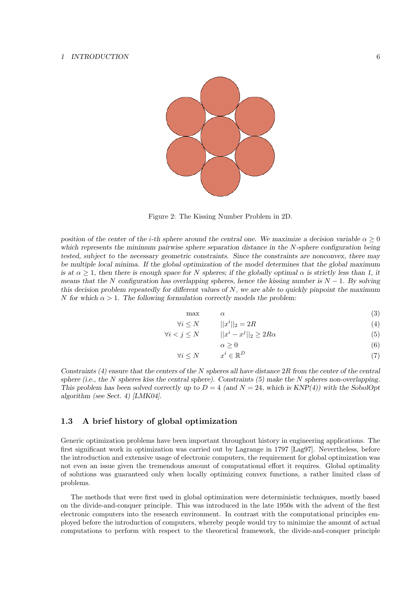

Figure 2: The Kissing Number Problem in 2D.

position of the center of the i-th sphere around the central one. We maximize a decision variable  $\alpha \geq 0$ which represents the minimum pairwise sphere separation distance in the N-sphere configuration being tested, subject to the necessary geometric constraints. Since the constraints are nonconvex, there may be multiple local minima. If the global optimization of the model determines that the global maximum is at  $\alpha \geq 1$ , then there is enough space for N spheres; if the globally optimal  $\alpha$  is strictly less than 1, it means that the N configuration has overlapping spheres, hence the kissing number is  $N - 1$ . By solving this decision problem repeatedly for different values of  $N$ , we are able to quickly pinpoint the maximum N for which  $\alpha > 1$ . The following formulation correctly models the problem:

$$
\max \qquad \alpha \qquad \qquad (3)
$$

$$
\forall i \le N \qquad \qquad ||x^i||_2 = 2R \tag{4}
$$

$$
\forall i < j \le N \qquad \quad ||x^i - x^j||_2 \ge 2R\alpha \tag{5}
$$

$$
\alpha \ge 0 \tag{6}
$$

$$
\forall i \le N \qquad x^i \in \mathbb{R}^D \tag{7}
$$

Constraints (4) ensure that the centers of the N spheres all have distance 
$$
2R
$$
 from the center of the central sphere (i.e., the N spheres kiss the central sphere). Constraints (5) make the N spheres non-overlapping. This problem has been solved correctly up to  $D = 4$  (and  $N = 24$ , which is  $KNP(4)$ ) with the SobolOpt

### 1.3 A brief history of global optimization

algorithm (see Sect. 4) [LMK04].

Generic optimization problems have been important throughout history in engineering applications. The first significant work in optimization was carried out by Lagrange in 1797 [Lag97]. Nevertheless, before the introduction and extensive usage of electronic computers, the requirement for global optimization was not even an issue given the tremendous amount of computational effort it requires. Global optimality of solutions was guaranteed only when locally optimizing convex functions, a rather limited class of problems.

The methods that were first used in global optimization were deterministic techniques, mostly based on the divide-and-conquer principle. This was introduced in the late 1950s with the advent of the first electronic computers into the research environment. In contrast with the computational principles employed before the introduction of computers, whereby people would try to minimize the amount of actual computations to perform with respect to the theoretical framework, the divide-and-conquer principle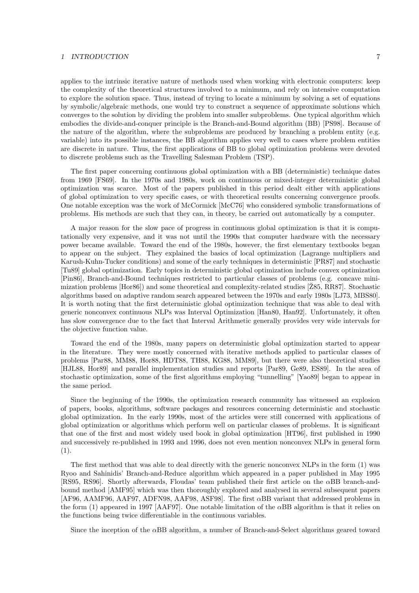applies to the intrinsic iterative nature of methods used when working with electronic computers: keep the complexity of the theoretical structures involved to a minimum, and rely on intensive computation to explore the solution space. Thus, instead of trying to locate a minimum by solving a set of equations by symbolic/algebraic methods, one would try to construct a sequence of approximate solutions which converges to the solution by dividing the problem into smaller subproblems. One typical algorithm which embodies the divide-and-conquer principle is the Branch-and-Bound algorithm (BB) [PS98]. Because of the nature of the algorithm, where the subproblems are produced by branching a problem entity (e.g. variable) into its possible instances, the BB algorithm applies very well to cases where problem entities are discrete in nature. Thus, the first applications of BB to global optimization problems were devoted to discrete problems such as the Travelling Salesman Problem (TSP).

The first paper concerning continuous global optimization with a BB (deterministic) technique dates from 1969 [FS69]. In the 1970s and 1980s, work on continuous or mixed-integer deterministic global optimization was scarce. Most of the papers published in this period dealt either with applications of global optimization to very specific cases, or with theoretical results concerning convergence proofs. One notable exception was the work of McCormick [McC76] who considered symbolic transformations of problems. His methods are such that they can, in theory, be carried out automatically by a computer.

A major reason for the slow pace of progress in continuous global optimization is that it is computationally very expensive, and it was not until the 1990s that computer hardware with the necessary power became available. Toward the end of the 1980s, however, the first elementary textbooks began to appear on the subject. They explained the basics of local optimization (Lagrange multipliers and Karush-Kuhn-Tucker conditions) and some of the early techniques in deterministic [PR87] and stochastic [Tu89] global optimization. Early topics in deterministic global optimization include convex optimization [Pin86], Branch-and-Bound techniques restricted to particular classes of problems (e.g. concave minimization problems [Hor86]) and some theoretical and complexity-related studies [ $\overline{2}85, \overline{R}87$ ]. Stochastic algorithms based on adaptive random search appeared between the 1970s and early 1980s [LJ73, MBS80]. It is worth noting that the first deterministic global optimization technique that was able to deal with generic nonconvex continuous NLPs was Interval Optimization [Han80, Han92]. Unfortunately, it often has slow convergence due to the fact that Interval Arithmetic generally provides very wide intervals for the objective function value.

Toward the end of the 1980s, many papers on deterministic global optimization started to appear in the literature. They were mostly concerned with iterative methods applied to particular classes of problems [Par88, MM88, Hor88, HDT88, TH88, KG88, MM89], but there were also theoretical studies [HJL88, Hor89] and parallel implementation studies and reports [Par89, Ge89, ES89]. In the area of stochastic optimization, some of the first algorithms employing "tunnelling" [Yao89] began to appear in the same period.

Since the beginning of the 1990s, the optimization research community has witnessed an explosion of papers, books, algorithms, software packages and resources concerning deterministic and stochastic global optimization. In the early 1990s, most of the articles were still concerned with applications of global optimization or algorithms which perform well on particular classes of problems. It is significant that one of the first and most widely used book in global optimization [HT96], first published in 1990 and successively re-published in 1993 and 1996, does not even mention nonconvex NLPs in general form (1).

The first method that was able to deal directly with the generic nonconvex NLPs in the form (1) was Ryoo and Sahinidis' Branch-and-Reduce algorithm which appeared in a paper published in May 1995 [RS95, RS96]. Shortly afterwards, Floudas' team published their first article on the αBB branch-andbound method [AMF95] which was then thoroughly explored and analysed in several subsequent papers [AF96, AAMF96, AAF97, ADFN98, AAF98, ASF98]. The first αBB variant that addressed problems in the form (1) appeared in 1997 [AAF97]. One notable limitation of the  $\alpha$ BB algorithm is that it relies on the functions being twice differentiable in the continuous variables.

Since the inception of the αBB algorithm, a number of Branch-and-Select algorithms geared toward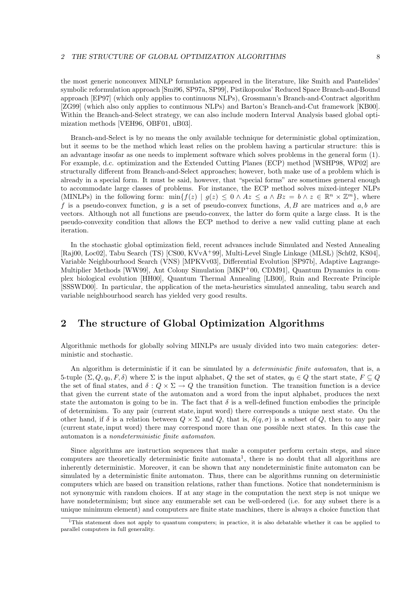the most generic nonconvex MINLP formulation appeared in the literature, like Smith and Pantelides' symbolic reformulation approach [Smi96, SP97a, SP99], Pistikopoulos' Reduced Space Branch-and-Bound approach [EP97] (which only applies to continuous NLPs), Grossmann's Branch-and-Contract algorithm [ZG99] (which also only applies to continuous NLPs) and Barton's Branch-and-Cut framework [KB00]. Within the Branch-and-Select strategy, we can also include modern Interval Analysis based global optimization methods [VEH96, OBF01, uB03].

Branch-and-Select is by no means the only available technique for deterministic global optimization, but it seems to be the method which least relies on the problem having a particular structure: this is an advantage insofar as one needs to implement software which solves problems in the general form (1). For example, d.c. optimization and the Extended Cutting Planes (ECP) method [WSHP98, WP02] are structurally different from Branch-and-Select approaches; however, both make use of a problem which is already in a special form. It must be said, however, that "special forms" are sometimes general enough to accommodate large classes of problems. For instance, the ECP method solves mixed-integer NLPs (MINLPs) in the following form:  $\min\{f(z) | g(z) \leq 0 \land Az \leq a \land Bz = b \land z \in \mathbb{R}^n \times \mathbb{Z}^m\}$ , where f is a pseudo-convex function, g is a set of pseudo-convex functions,  $A, B$  are matrices and  $a, b$  are vectors. Although not all functions are pseudo-convex, the latter do form quite a large class. It is the pseudo-convexity condition that allows the ECP method to derive a new valid cutting plane at each iteration.

In the stochastic global optimization field, recent advances include Simulated and Nested Annealing [Raj00, Loc02], Tabu Search (TS) [CS00, KVvA<sup>+</sup>99], Multi-Level Single Linkage (MLSL) [Sch02, KS04], Variable Neighbourhood Search (VNS) [MPKVv03], Differential Evolution [SP97b], Adaptive Lagrange-Multiplier Methods [WW99], Ant Colony Simulation [MKP<sup>+</sup>00, CDM91], Quantum Dynamics in complex biological evolution [HH00], Quantum Thermal Annealing [LB00], Ruin and Recreate Principle [SSSWD00]. In particular, the application of the meta-heuristics simulated annealing, tabu search and variable neighbourhood search has yielded very good results.

## 2 The structure of Global Optimization Algorithms

Algorithmic methods for globally solving MINLPs are usualy divided into two main categories: deterministic and stochastic.

An algorithm is deterministic if it can be simulated by a *deterministic finite automaton*, that is, a 5-tuple  $(\Sigma, Q, q_0, F, \delta)$  where  $\Sigma$  is the input alphabet, Q the set of states,  $q_0 \in Q$  the start state,  $F \subseteq Q$ the set of final states, and  $\delta: Q \times \Sigma \to Q$  the transition function. The transition function is a device that given the current state of the automaton and a word from the input alphabet, produces the next state the automaton is going to be in. The fact that  $\delta$  is a well-defined function embodies the principle of determinism. To any pair (current state, input word) there corresponds a unique next state. On the other hand, if  $\delta$  is a relation between  $Q \times \Sigma$  and  $Q$ , that is,  $\delta(q, \sigma)$  is a subset of  $Q$ , then to any pair (current state, input word) there may correspond more than one possible next states. In this case the automaton is a nondeterministic finite automaton.

Since algorithms are instruction sequences that make a computer perform certain steps, and since computers are theoretically deterministic finite automata<sup>1</sup>, there is no doubt that all algorithms are inherently deterministic. Moreover, it can be shown that any nondeterministic finite automaton can be simulated by a deterministic finite automaton. Thus, there can be algorithms running on deterministic computers which are based on transition relations, rather than functions. Notice that nondeterminism is not synonymic with random choices. If at any stage in the computation the next step is not unique we have nondeterminism; but since any enumerable set can be well-ordered (i.e. for any subset there is a unique minimum element) and computers are finite state machines, there is always a choice function that

<sup>&</sup>lt;sup>1</sup>This statement does not apply to quantum computers; in practice, it is also debatable whether it can be applied to parallel computers in full generality.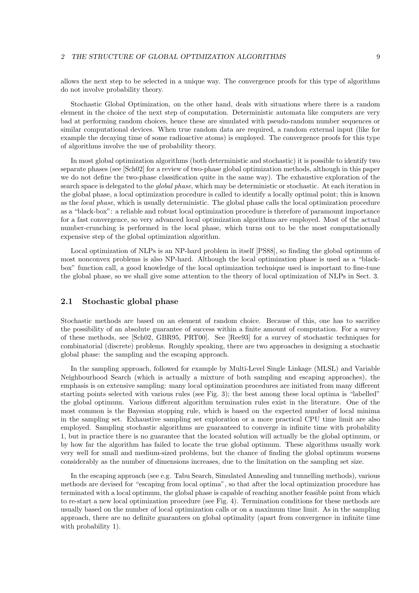allows the next step to be selected in a unique way. The convergence proofs for this type of algorithms do not involve probability theory.

Stochastic Global Optimization, on the other hand, deals with situations where there is a random element in the choice of the next step of computation. Deterministic automata like computers are very bad at performing random choices, hence these are simulated with pseudo-random number sequences or similar computational devices. When true random data are required, a random external input (like for example the decaying time of some radioactive atoms) is employed. The convergence proofs for this type of algorithms involve the use of probability theory.

In most global optimization algorithms (both deterministic and stochastic) it is possible to identify two separate phases (see [Sch02] for a review of two-phase global optimization methods, although in this paper we do not define the two-phase classification quite in the same way). The exhaustive exploration of the search space is delegated to the global phase, which may be deterministic or stochastic. At each iteration in the global phase, a local optimization procedure is called to identify a locally optimal point; this is known as the local phase, which is usually deterministic. The global phase calls the local optimization procedure as a "black-box": a reliable and robust local optimization procedure is therefore of paramount importance for a fast convergence, so very advanced local optimization algorithms are employed. Most of the actual number-crunching is performed in the local phase, which turns out to be the most computationally expensive step of the global optimization algorithm.

Local optimization of NLPs is an NP-hard problem in itself [PS88], so finding the global optimum of most nonconvex problems is also NP-hard. Although the local optimization phase is used as a "blackbox" function call, a good knowledge of the local optimization technique used is important to fine-tune the global phase, so we shall give some attention to the theory of local optimization of NLPs in Sect. 3.

### 2.1 Stochastic global phase

Stochastic methods are based on an element of random choice. Because of this, one has to sacrifice the possibility of an absolute guarantee of success within a finite amount of computation. For a survey of these methods, see [Sch02, GBR95, PRT00]. See [Ree93] for a survey of stochastic techniques for combinatorial (discrete) problems. Roughly speaking, there are two approaches in designing a stochastic global phase: the sampling and the escaping approach.

In the sampling approach, followed for example by Multi-Level Single Linkage (MLSL) and Variable Neighbourhood Search (which is actually a mixture of both sampling and escaping approaches), the emphasis is on extensive sampling: many local optimization procedures are initiated from many different starting points selected with various rules (see Fig. 3); the best among these local optima is "labelled" the global optimum. Various different algorithm termination rules exist in the literature. One of the most common is the Bayesian stopping rule, which is based on the expected number of local minima in the sampling set. Exhaustive sampling set exploration or a more practical CPU time limit are also employed. Sampling stochastic algorithms are guaranteed to converge in infinite time with probability 1, but in practice there is no guarantee that the located solution will actually be the global optimum, or by how far the algorithm has failed to locate the true global optimum. These algorithms usually work very well for small and medium-sized problems, but the chance of finding the global optimum worsens considerably as the number of dimensions increases, due to the limitation on the sampling set size.

In the escaping approach (see e.g. Tabu Search, Simulated Annealing and tunnelling methods), various methods are devised for "escaping from local optima", so that after the local optimization procedure has terminated with a local optimum, the global phase is capable of reaching another feasible point from which to re-start a new local optimization procedure (see Fig. 4). Termination conditions for these methods are usually based on the number of local optimization calls or on a maximum time limit. As in the sampling approach, there are no definite guarantees on global optimality (apart from convergence in infinite time with probability 1).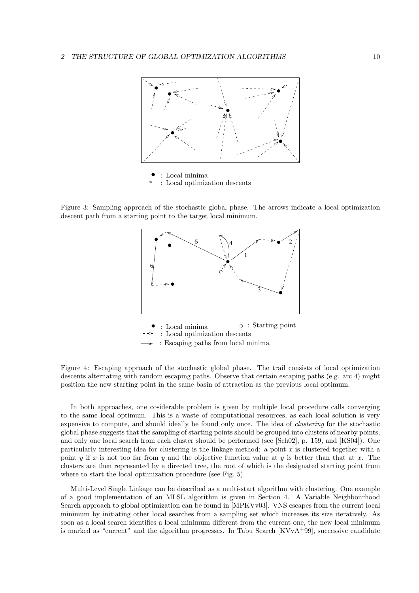

Figure 3: Sampling approach of the stochastic global phase. The arrows indicate a local optimization descent path from a starting point to the target local minimum.



Figure 4: Escaping approach of the stochastic global phase. The trail consists of local optimization descents alternating with random escaping paths. Observe that certain escaping paths (e.g. arc 4) might position the new starting point in the same basin of attraction as the previous local optimum.

In both approaches, one cosiderable problem is given by multiple local procedure calls converging to the same local optimum. This is a waste of computational resources, as each local solution is very expensive to compute, and should ideally be found only once. The idea of clustering for the stochastic global phase suggests that the sampling of starting points should be grouped into clusters of nearby points, and only one local search from each cluster should be performed (see [Sch02], p. 159, and [KS04]). One particularly interesting idea for clustering is the linkage method: a point  $x$  is clustered together with a point y if x is not too far from y and the objective function value at y is better than that at x. The clusters are then represented by a directed tree, the root of which is the designated starting point from where to start the local optimization procedure (see Fig. 5).

Multi-Level Single Linkage can be described as a multi-start algorithm with clustering. One example of a good implementation of an MLSL algorithm is given in Section 4. A Variable Neighbourhood Search approach to global optimization can be found in [MPKVv03]. VNS escapes from the current local minimum by initiating other local searches from a sampling set which increases its size iteratively. As soon as a local search identifies a local minimum different from the current one, the new local minimum is marked as "current" and the algorithm progresses. In Tabu Search [KVvA+99], successive candidate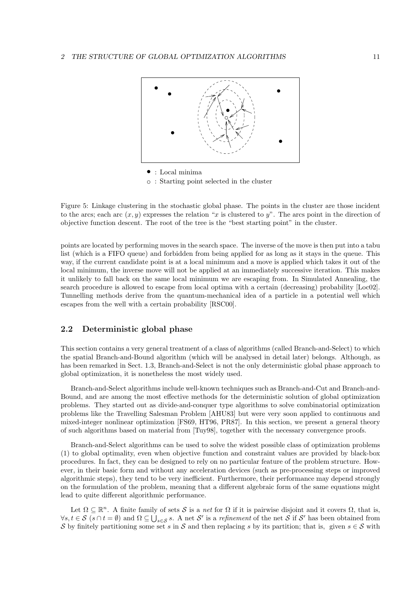

Figure 5: Linkage clustering in the stochastic global phase. The points in the cluster are those incident to the arcs; each arc  $(x, y)$  expresses the relation "x is clustered to y". The arcs point in the direction of objective function descent. The root of the tree is the "best starting point" in the cluster.

points are located by performing moves in the search space. The inverse of the move is then put into a tabu list (which is a FIFO queue) and forbidden from being applied for as long as it stays in the queue. This way, if the current candidate point is at a local minimum and a move is applied which takes it out of the local minimum, the inverse move will not be applied at an immediately successive iteration. This makes it unlikely to fall back on the same local minimum we are escaping from. In Simulated Annealing, the search procedure is allowed to escape from local optima with a certain (decreasing) probability [Loc02]. Tunnelling methods derive from the quantum-mechanical idea of a particle in a potential well which escapes from the well with a certain probability [RSC00].

## 2.2 Deterministic global phase

This section contains a very general treatment of a class of algorithms (called Branch-and-Select) to which the spatial Branch-and-Bound algorithm (which will be analysed in detail later) belongs. Although, as has been remarked in Sect. 1.3, Branch-and-Select is not the only deterministic global phase approach to global optimization, it is nonetheless the most widely used.

Branch-and-Select algorithms include well-known techniques such as Branch-and-Cut and Branch-and-Bound, and are among the most effective methods for the deterministic solution of global optimization problems. They started out as divide-and-conquer type algorithms to solve combinatorial optimization problems like the Travelling Salesman Problem [AHU83] but were very soon applied to continuous and mixed-integer nonlinear optimization [FS69, HT96, PR87]. In this section, we present a general theory of such algorithms based on material from [Tuy98], together with the necessary convergence proofs.

Branch-and-Select algorithms can be used to solve the widest possible class of optimization problems (1) to global optimality, even when objective function and constraint values are provided by black-box procedures. In fact, they can be designed to rely on no particular feature of the problem structure. However, in their basic form and without any acceleration devices (such as pre-processing steps or improved algorithmic steps), they tend to be very inefficient. Furthermore, their performance may depend strongly on the formulation of the problem, meaning that a different algebraic form of the same equations might lead to quite different algorithmic performance.

Let  $\Omega \subseteq \mathbb{R}^n$ . A finite family of sets S is a net for  $\Omega$  if it is pairwise disjoint and it covers  $\Omega$ , that is,  $\forall s,t \in \mathcal{S} \ (s \cap t = \emptyset) \text{ and } \Omega \subseteq \bigcup_{s \in \mathcal{S}} s.$  A net  $\mathcal{S}'$  is a *refinement* of the net  $\mathcal{S}$  if  $\mathcal{S}'$  has been obtained from S by finitely partitioning some set s in S and then replacing s by its partition; that is, given  $s \in S$  with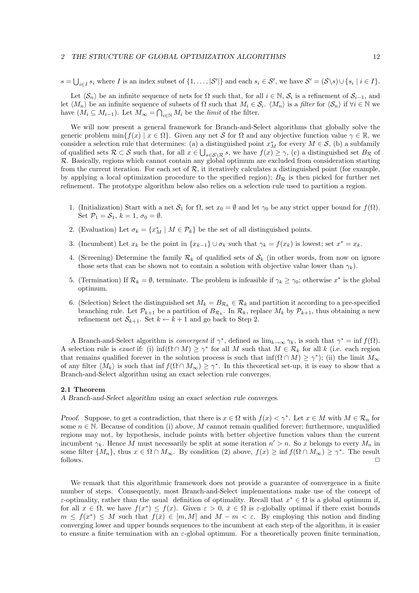$s = \bigcup_{i \in I} s_i$  where I is an index subset of  $\{1, \ldots, |\mathcal{S}'|\}$  and each  $s_i \in \mathcal{S}'$ , we have  $\mathcal{S}' = (\mathcal{S} \setminus s) \cup \{s_i \mid i \in I\}$ .

Let  $\langle \mathcal{S}_n \rangle$  be an infinite sequence of nets for  $\Omega$  such that, for all  $i \in \mathbb{N}$ ,  $\mathcal{S}_i$  is a refinement of  $\mathcal{S}_{i-1}$ , and let  $\langle M_n \rangle$  be an infinite sequence of subsets of  $\Omega$  such that  $M_i \in \mathcal{S}_i$ .  $\langle M_n \rangle$  is a *filter* for  $\langle \mathcal{S}_n \rangle$  if  $\forall i \in \mathbb{N}$  we have  $(M_i \subseteq M_{i-1})$ . Let  $M_{\infty} = \bigcap_{i \in \mathbb{N}} M_i$  be the *limit* of the filter.

We will now present a general framework for Branch-and-Select algorithms that globally solve the generic problem  $\min\{f(x) | x \in \Omega\}$ . Given any net S for  $\Omega$  and any objective function value  $\gamma \in \mathbb{R}$ , we consider a selection rule that determines: (a) a distinguished point  $x_M^*$  for every  $M \in \mathcal{S}$ , (b) a subfamily of qualified sets  $\mathcal{R} \subset \mathcal{S}$  such that, for all  $x \in \bigcup_{s \in \mathcal{S} \setminus \mathcal{R}} s$ , we have  $f(x) \geq \gamma$ , (c) a distinguished set  $B_{\mathcal{R}}$  of R. Basically, regions which cannot contain any global optimum are excluded from consideration starting from the current iteration. For each set of  $\mathcal{R}$ , it iteratively calculates a distinguished point (for example, by applying a local optimization procedure to the specified region);  $B_{\mathcal{R}}$  is then picked for further net refinement. The prototype algorithm below also relies on a selection rule used to partition a region.

- 1. (Initialization) Start with a net  $S_1$  for  $\Omega$ , set  $x_0 = \emptyset$  and let  $\gamma_0$  be any strict upper bound for  $f(\Omega)$ . Set  $\mathcal{P}_1 = \mathcal{S}_1, k = 1, \sigma_0 = \emptyset.$
- 2. (Evaluation) Let  $\sigma_k = \{x_M^* | M \in \mathcal{P}_k\}$  be the set of all distinguished points.
- 3. (Incumbent) Let  $x_k$  be the point in  $\{x_{k-1}\}\cup\sigma_k$  such that  $\gamma_k = f(x_k)$  is lowest; set  $x^* = x_k$ .
- 4. (Screening) Determine the family  $\mathcal{R}_k$  of qualified sets of  $\mathcal{S}_k$  (in other words, from now on ignore those sets that can be shown not to contain a solution with objective value lower than  $\gamma_k$ ).
- 5. (Termination) If  $\mathcal{R}_k = \emptyset$ , terminate. The problem is infeasible if  $\gamma_k \geq \gamma_0$ ; otherwise  $x^*$  is the global optimum.
- 6. (Selection) Select the distinguished set  $M_k = B_{\mathcal{R}_k} \in \mathcal{R}_k$  and partition it according to a pre-specified branching rule. Let  $\mathcal{P}_{k+1}$  be a partition of  $B_{\mathcal{R}_k}$ . In  $\mathcal{R}_k$ , replace  $M_k$  by  $\mathcal{P}_{k+1}$ , thus obtaining a new refinement net  $S_{k+1}$ . Set  $k \leftarrow k+1$  and go back to Step 2.

A Branch-and-Select algorithm is *convergent* if  $\gamma^*$ , defined as  $\lim_{k\to\infty}\gamma_k$ , is such that  $\gamma^* = \inf f(\Omega)$ . A selection rule is exact if: (i) inf $(\Omega \cap M) \geq \gamma^*$  for all M such that  $M \in \mathcal{R}_k$  for all k (i.e. each region that remains qualified forever in the solution process is such that  $\inf(\Omega \cap M) \geq \gamma^*$ ; (ii) the limit  $M_{\infty}$ of any filter  $\langle M_k \rangle$  is such that inf  $f(\Omega \cap M_\infty) \geq \gamma^*$ . In this theoretical set-up, it is easy to show that a Branch-and-Select algorithm using an exact selection rule converges.

#### 2.1 Theorem

A Branch-and-Select algorithm using an exact selection rule converges.

Proof. Suppose, to get a contradiction, that there is  $x \in \Omega$  with  $f(x) < \gamma^*$ . Let  $x \in M$  with  $M \in \mathcal{R}_n$  for some  $n \in \mathbb{N}$ . Because of condition (i) above, M cannot remain qualified forever; furthermore, unqualified regions may not, by hypothesis, include points with better objective function values than the current incumbent  $\gamma_k$ . Hence M must necessarily be split at some iteration  $n' > n$ . So x belongs to every  $M_n$  in some filter  $\{M_n\}$ , thus  $x \in \Omega \cap M_\infty$ . By condition (2) above,  $f(x) \ge \inf f(\Omega \cap M_\infty) \ge \gamma^*$ . The result  $\Box$  follows.  $\Box$ 

We remark that this algorithmic framework does not provide a guarantee of convergence in a finite number of steps. Consequently, most Branch-and-Select implementations make use of the concept of ε-optimality, rather than the usual definition of optimality. Recall that  $x^* \in \Omega$  is a global optimum if, for all  $x \in \Omega$ , we have  $f(x^*) \leq f(x)$ . Given  $\varepsilon > 0$ ,  $\bar{x} \in \Omega$  is  $\varepsilon$ -globally optimal if there exist bounds  $m \leq f(x^*) \leq M$  such that  $f(\bar{x}) \in [m, M]$  and  $M - m < \varepsilon$ . By employing this notion and finding converging lower and upper bounds sequences to the incumbent at each step of the algorithm, it is easier to ensure a finite termination with an  $\varepsilon$ -global optimum. For a theoretically proven finite termination,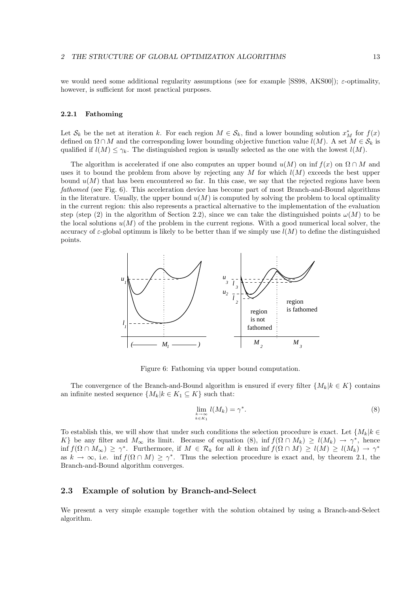we would need some additional regularity assumptions (see for example [SS98, AKS00]); ε-optimality, however, is sufficient for most practical purposes.

#### 2.2.1 Fathoming

Let  $\mathcal{S}_k$  be the net at iteration k. For each region  $M \in \mathcal{S}_k$ , find a lower bounding solution  $x_M^*$  for  $f(x)$ defined on  $\Omega \cap M$  and the corresponding lower bounding objective function value  $l(M)$ . A set  $M \in \mathcal{S}_k$  is qualified if  $l(M) \leq \gamma_k$ . The distinguished region is usually selected as the one with the lowest  $l(M)$ .

The algorithm is accelerated if one also computes an upper bound  $u(M)$  on inf  $f(x)$  on  $\Omega \cap M$  and uses it to bound the problem from above by rejecting any  $M$  for which  $l(M)$  exceeds the best upper bound  $u(M)$  that has been encountered so far. In this case, we say that the rejected regions have been fathomed (see Fig. 6). This acceleration device has become part of most Branch-and-Bound algorithms in the literature. Usually, the upper bound  $u(M)$  is computed by solving the problem to local optimality in the current region: this also represents a practical alternative to the implementation of the evaluation step (step (2) in the algorithm of Section 2.2), since we can take the distinguished points  $\omega(M)$  to be the local solutions  $u(M)$  of the problem in the current regions. With a good numerical local solver, the accuracy of  $\varepsilon$ -global optimum is likely to be better than if we simply use  $l(M)$  to define the distinguished points.



Figure 6: Fathoming via upper bound computation.

The convergence of the Branch-and-Bound algorithm is ensured if every filter  $\{M_k | k \in K\}$  contains an infinite nested sequence  $\{M_k | k \in K_1 \subseteq K\}$  such that:

$$
\lim_{\substack{k \to \infty \\ k \in K_1}} l(M_k) = \gamma^*.
$$
\n(8)

To establish this, we will show that under such conditions the selection procedure is exact. Let  $\{M_k | k \in \mathbb{R}\}$ K} be any filter and  $M_{\infty}$  its limit. Because of equation (8), inf  $f(\Omega \cap M_k) \ge l(M_k) \to \gamma^*$ , hence  $\inf f(\Omega \cap M_{\infty}) \geq \gamma^*$ . Furthermore, if  $M \in \mathcal{R}_k$  for all k then  $\inf f(\Omega \cap M) \geq l(M) \geq l(M_k) \to \gamma^*$ as  $k \to \infty$ , i.e. inf  $f(\Omega \cap M) \geq \gamma^*$ . Thus the selection procedure is exact and, by theorem 2.1, the Branch-and-Bound algorithm converges.

### 2.3 Example of solution by Branch-and-Select

We present a very simple example together with the solution obtained by using a Branch-and-Select algorithm.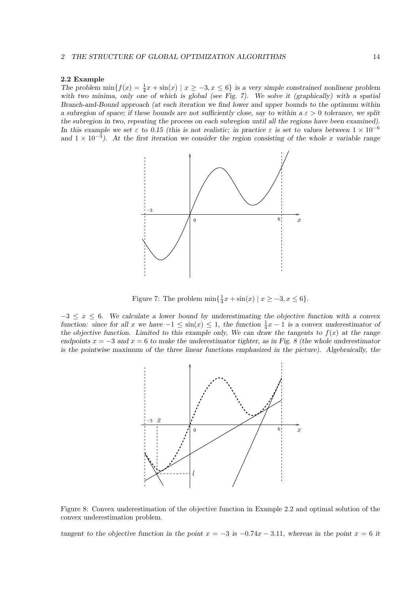#### 2.2 Example

The problem  $\min\{f(x) = \frac{1}{4}x + \sin(x) \mid x \ge -3, x \le 6\}$  is a very simple constrained nonlinear problem with two minima, only one of which is global (see Fig. 7). We solve it (graphically) with a spatial Branch-and-Bound approach (at each iteration we find lower and upper bounds to the optimum within a subregion of space; if these bounds are not sufficiently close, say to within a  $\varepsilon > 0$  tolerance, we split the subregion in two, repeating the process on each subregion until all the regions have been examined). In this example we set  $\varepsilon$  to 0.15 (this is not realistic; in practice  $\varepsilon$  is set to values between  $1 \times 10^{-6}$ and  $1 \times 10^{-3}$ ). At the first iteration we consider the region consisting of the whole x variable range



Figure 7: The problem  $\min\{\frac{1}{4}x + \sin(x) \mid x \ge -3, x \le 6\}.$ 

 $-3 \leq x \leq 6$ . We calculate a lower bound by underestimating the objective function with a convex function: since for all x we have  $-1 \le \sin(x) \le 1$ , the function  $\frac{1}{4}x - 1$  is a convex underestimator of the objective function. Limited to this example only, We can draw the tangents to  $f(x)$  at the range endpoints  $x = -3$  and  $x = 6$  to make the underestimator tighter, as in Fig. 8 (the whole underestimator is the pointwise maximum of the three linear functions emphasized in the picture). Algebraically, the



Figure 8: Convex underestimation of the objective function in Example 2.2 and optimal solution of the convex underestimation problem.

tangent to the objective function in the point  $x = -3$  is  $-0.74x - 3.11$ , whereas in the point  $x = 6$  it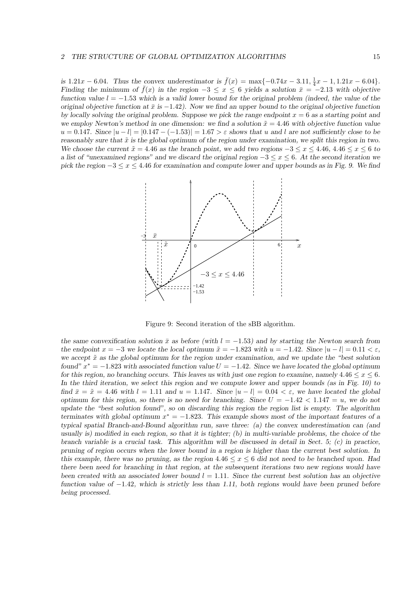is 1.21x – 6.04. Thus the convex underestimator is  $\bar{f}(x) = \max\{-0.74x - 3.11, \frac{1}{4}x - 1, 1.21x - 6.04\}.$ Finding the minimum of  $\bar{f}(x)$  in the region  $-3 < x < 6$  yields a solution  $\bar{x} = -2.13$  with objective function value  $l = -1.53$  which is a valid lower bound for the original problem (indeed, the value of the original objective function at  $\bar{x}$  is −1.42). Now we find an upper bound to the original objective function by locally solving the original problem. Suppose we pick the range endpoint  $x = 6$  as a starting point and we employ Newton's method in one dimension: we find a solution  $\tilde{x} = 4.46$  with objective function value  $u = 0.147$ . Since  $|u - l| = |0.147 - (-1.53)| = 1.67 > \varepsilon$  shows that u and l are not sufficiently close to be reasonably sure that  $\tilde{x}$  is the global optimum of the region under examination, we split this region in two. We choose the current  $\tilde{x} = 4.46$  as the branch point, we add two regions  $-3 \le x \le 4.46$ ,  $4.46 \le x \le 6$  to a list of "unexamined regions" and we discard the original region  $-3 \le x \le 6$ . At the second iteration we pick the region  $-3 \le x \le 4.46$  for examination and compute lower and upper bounds as in Fig. 9. We find



Figure 9: Second iteration of the sBB algorithm.

the same convexification solution  $\bar{x}$  as before (with  $l = -1.53$ ) and by starting the Newton search from the endpoint  $x = -3$  we locate the local optimum  $\tilde{x} = -1.823$  with  $u = -1.42$ . Since  $|u - l| = 0.11 < \varepsilon$ , we accept  $\tilde{x}$  as the global optimum for the region under examination, and we update the "best solution" found"  $x^* = -1.823$  with associated function value  $U = -1.42$ . Since we have located the global optimum for this region, no branching occurs. This leaves us with just one region to examine, namely  $4.46 \le x \le 6$ . In the third iteration, we select this region and we compute lower and upper bounds (as in Fig. 10) to find  $\bar{x} = \tilde{x} = 4.46$  with  $l = 1.11$  and  $u = 1.147$ . Since  $|u - l| = 0.04 < \varepsilon$ , we have located the global optimum for this region, so there is no need for branching. Since  $U = -1.42 < 1.147 = u$ , we do not update the "best solution found", so on discarding this region the region list is empty. The algorithm terminates with global optimum  $x^* = -1.823$ . This example shows most of the important features of a typical spatial Branch-and-Bound algorithm run, save three: (a) the convex underestimation can (and usually is) modified in each region, so that it is tighter; (b) in multi-variable problems, the choice of the branch variable is a crucial task. This algorithm will be discussed in detail in Sect.  $5$ ; (c) in practice, pruning of region occurs when the lower bound in a region is higher than the current best solution. In this example, there was no pruning, as the region  $4.46 \le x \le 6$  did not need to be branched upon. Had there been need for branching in that region, at the subsequent iterations two new regions would have been created with an associated lower bound  $l = 1.11$ . Since the current best solution has an objective function value of  $-1.42$ , which is strictly less than 1.11, both regions would have been pruned before being processed.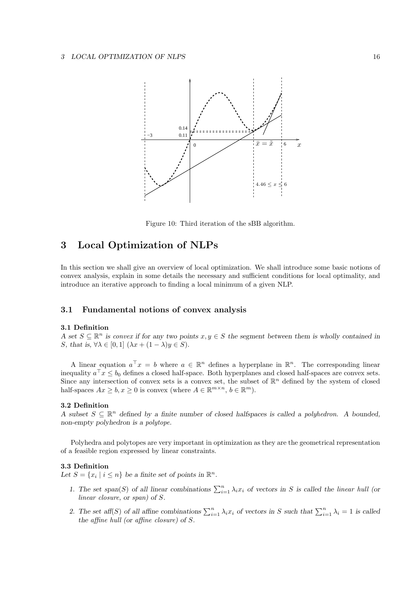

Figure 10: Third iteration of the sBB algorithm.

## 3 Local Optimization of NLPs

In this section we shall give an overview of local optimization. We shall introduce some basic notions of convex analysis, explain in some details the necessary and sufficient conditions for local optimality, and introduce an iterative approach to finding a local minimum of a given NLP.

### 3.1 Fundamental notions of convex analysis

#### 3.1 Definition

A set  $S \subseteq \mathbb{R}^n$  is convex if for any two points  $x, y \in S$  the segment between them is wholly contained in S, that is,  $\forall \lambda \in [0,1]$   $(\lambda x + (1 - \lambda)y \in S)$ .

A linear equation  $a^{\top} x = b$  where  $a \in \mathbb{R}^n$  defines a hyperplane in  $\mathbb{R}^n$ . The corresponding linear inequality  $a^{\top} x \leq b_0$  defines a closed half-space. Both hyperplanes and closed half-spaces are convex sets. Since any intersection of convex sets is a convex set, the subset of  $\mathbb{R}^n$  defined by the system of closed half-spaces  $Ax \geq b, x \geq 0$  is convex (where  $A \in \mathbb{R}^{m \times n}, b \in \mathbb{R}^m$ ).

#### 3.2 Definition

A subset  $S \subseteq \mathbb{R}^n$  defined by a finite number of closed halfspaces is called a polyhedron. A bounded, non-empty polyhedron is a polytope.

Polyhedra and polytopes are very important in optimization as they are the geometrical representation of a feasible region expressed by linear constraints.

#### 3.3 Definition

Let  $S = \{x_i \mid i \leq n\}$  be a finite set of points in  $\mathbb{R}^n$ .

- 1. The set span(S) of all linear combinations  $\sum_{i=1}^{n} \lambda_i x_i$  of vectors in S is called the linear hull (or linear closure, or span) of S.
- 2. The set aff(S) of all affine combinations  $\sum_{i=1}^{n} \lambda_i x_i$  of vectors in S such that  $\sum_{i=1}^{n} \lambda_i = 1$  is called the affine hull (or affine closure) of S.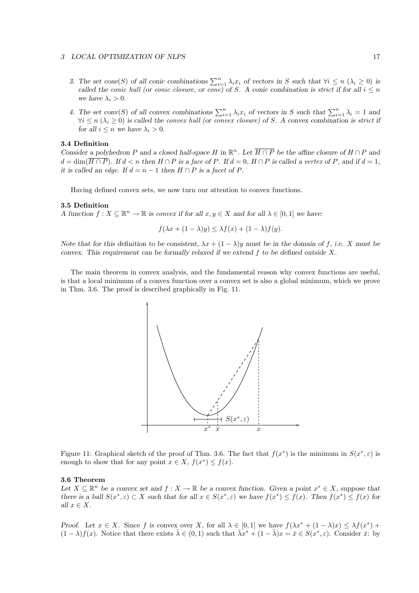#### 3 LOCAL OPTIMIZATION OF NLPS 17

- 3. The set cone(S) of all conic combinations  $\sum_{i=1}^{n} \lambda_i x_i$  of vectors in S such that  $\forall i \leq n \ (\lambda_i \geq 0)$  is called the conic hull (or conic closure, or cone) of S. A conic combination is strict if for all  $i \leq n$ we have  $\lambda_i > 0$ .
- 4. The set conv(S) of all convex combinations  $\sum_{i=1}^{n} \lambda_i x_i$  of vectors in S such that  $\sum_{i=1}^{n} \lambda_i = 1$  and  $\forall i \leq n \ (\lambda_i \geq 0)$  is called the convex hull (or convex closure) of S. A convex combination is strict if for all  $i \leq n$  we have  $\lambda_i > 0$ .

#### 3.4 Definition

Consider a polyhedron P and a closed half-space H in  $\mathbb{R}^n$ . Let  $\overline{H \cap P}$  be the affine closure of  $H \cap P$  and  $d = \dim(\overline{H \cap P})$ . If  $d < n$  then  $H \cap P$  is a face of P. If  $d = 0$ ,  $H \cap P$  is called a vertex of P, and if  $d = 1$ , it is called an edge. If  $d = n - 1$  then  $H \cap P$  is a facet of P.

Having defined convex sets, we now turn our attention to convex functions.

#### 3.5 Definition

A function  $f: X \subseteq \mathbb{R}^n \to \mathbb{R}$  is convex if for all  $x, y \in X$  and for all  $\lambda \in [0, 1]$  we have:

$$
f(\lambda x + (1 - \lambda)y) \leq \lambda f(x) + (1 - \lambda)f(y).
$$

Note that for this definition to be consistent,  $\lambda x + (1 - \lambda)y$  must be in the domain of f, i.e. X must be convex. This requirement can be formally relaxed if we extend  $f$  to be defined outside  $X$ .

The main theorem in convex analysis, and the fundamental reason why convex functions are useful, is that a local minimum of a convex function over a convex set is also a global minimum, which we prove in Thm. 3.6. The proof is described graphically in Fig. 11.



Figure 11: Graphical sketch of the proof of Thm. 3.6. The fact that  $f(x^*)$  is the minimum in  $S(x^*, \varepsilon)$  is enough to show that for any point  $x \in X$ ,  $f(x^*) \leq f(x)$ .

#### 3.6 Theorem

Let  $X \subseteq \mathbb{R}^n$  be a convex set and  $f : X \to \mathbb{R}$  be a convex function. Given a point  $x^* \in X$ , suppose that there is a ball  $S(x^*, \varepsilon) \subset X$  such that for all  $x \in S(x^*, \varepsilon)$  we have  $f(x^*) \le f(x)$ . Then  $f(x^*) \le f(x)$  for all  $x \in X$ .

Proof. Let  $x \in X$ . Since f is convex over X, for all  $\lambda \in [0,1]$  we have  $f(\lambda x^* + (1 - \lambda)x) \leq \lambda f(x^*) +$  $(1 - \lambda)f(x)$ . Notice that there exists  $\overline{\lambda} \in (0, 1)$  such that  $\overline{\lambda}x^* + (1 - \overline{\lambda})x = \overline{x} \in S(x^*, \varepsilon)$ . Consider  $\overline{x}$ : by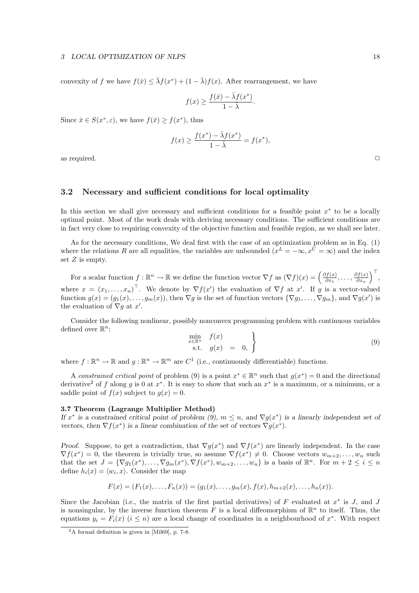convexity of f we have  $f(\bar{x}) \leq \bar{\lambda} f(x^*) + (1 - \bar{\lambda}) f(x)$ . After rearrangement, we have

$$
f(x) \ge \frac{f(\bar{x}) - \bar{\lambda}f(x^*)}{1 - \bar{\lambda}}.
$$

Since  $\bar{x} \in S(x^*, \varepsilon)$ , we have  $f(\bar{x}) \ge f(x^*)$ , thus

$$
f(x) \ge \frac{f(x^*) - \bar{\lambda}f(x^*)}{1 - \bar{\lambda}} = f(x^*),
$$

as required.  $\Box$ 

### 3.2 Necessary and sufficient conditions for local optimality

In this section we shall give necessary and sufficient conditions for a feasible point  $x^*$  to be a locally optimal point. Most of the work deals with deriving necessary conditions. The sufficient conditions are in fact very close to requiring convexity of the objective function and feasible region, as we shall see later.

As for the necessary conditions, We deal first with the case of an optimization problem as in Eq. (1) where the relations R are all equalities, the variables are unbounded  $(x^L = -\infty, x^U = \infty)$  and the index set  $Z$  is empty.

For a scalar function  $f : \mathbb{R}^n \to \mathbb{R}$  we define the function vector  $\nabla f$  as  $(\nabla f)(x) = \left(\frac{\partial f(x)}{\partial x}\right)^n$  $\frac{\partial f(x)}{\partial x_1}, \ldots, \frac{\partial f(x)}{\partial x_n}$  $\frac{\partial f(x)}{\partial x_n}\Big)^{\top},$ where  $x = (x_1, \ldots, x_n)^\top$ . We denote by  $\nabla f(x')$  the evaluation of  $\nabla f$  at x'. If g is a vector-valued function  $g(x) = (g_1(x), \ldots, g_m(x))$ , then  $\nabla g$  is the set of function vectors  $\{\nabla g_1, \ldots, \nabla g_m\}$ , and  $\nabla g(x')$  is the evaluation of  $\nabla g$  at x'.

Consider the following nonlinear, possibly nonconvex programming problem with continuous variables defined over  $\mathbb{R}^n$ :

$$
\begin{array}{c}\n\min_{x \in \mathbb{R}^n} & f(x) \\
\text{s.t.} & g(x) = 0, \end{array} \tag{9}
$$

where  $f : \mathbb{R}^n \to \mathbb{R}$  and  $g : \mathbb{R}^n \to \mathbb{R}^m$  are  $C^1$  (i.e., continuously differentiable) functions.

A constrained critical point of problem (9) is a point  $x^* \in \mathbb{R}^n$  such that  $g(x^*) = 0$  and the directional derivative<sup>2</sup> of f along g is 0 at  $x^*$ . It is easy to show that such an  $x^*$  is a maximum, or a minimum, or a saddle point of  $f(x)$  subject to  $g(x) = 0$ .

#### 3.7 Theorem (Lagrange Multiplier Method)

If  $x^*$  is a constrained critical point of problem (9),  $m \leq n$ , and  $\nabla g(x^*)$  is a linearly independent set of vectors, then  $\nabla f(x^*)$  is a linear combination of the set of vectors  $\nabla g(x^*)$ .

Proof. Suppose, to get a contradiction, that  $\nabla g(x^*)$  and  $\nabla f(x^*)$  are linearly independent. In the case  $\nabla f(x^*) = 0$ , the theorem is trivially true, so assume  $\nabla f(x^*) \neq 0$ . Choose vectors  $w_{m+2}, \ldots, w_n$  such that the set  $J = \{\nabla g_1(x^*), \ldots, \nabla g_m(x^*), \nabla f(x^*), w_{m+2}, \ldots, w_n\}$  is a basis of  $\mathbb{R}^n$ . For  $m + 2 \leq i \leq n$ define  $h_i(x) = \langle w_i, x \rangle$ . Consider the map

$$
F(x) = (F_1(x), \ldots, F_n(x)) = (g_1(x), \ldots, g_m(x), f(x), h_{m+2}(x), \ldots, h_n(x)).
$$

Since the Jacobian (i.e., the matrix of the first partial derivatives) of  $F$  evaluated at  $x^*$  is  $J$ , and  $J$ is nonsingular, by the inverse function theorem  $\overline{F}$  is a local diffeomorphism of  $\mathbb{R}^n$  to itself. Thus, the equations  $y_i = F_i(x)$  ( $i \leq n$ ) are a local change of coordinates in a neighbourhood of  $x^*$ . With respect

<sup>2</sup>A formal definition is given in [Mil69], p. 7-8.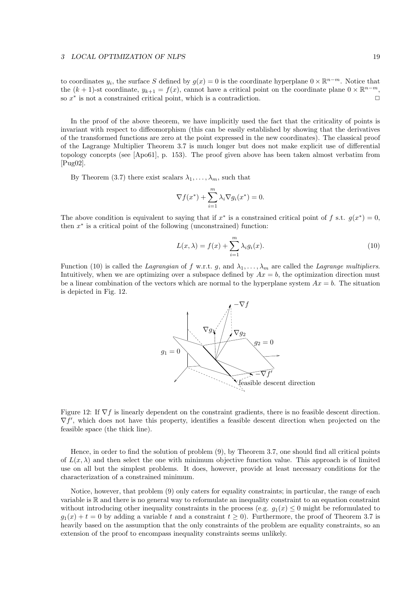to coordinates  $y_i$ , the surface S defined by  $g(x) = 0$  is the coordinate hyperplane  $0 \times \mathbb{R}^{n-m}$ . Notice that the  $(k + 1)$ -st coordinate,  $y_{k+1} = f(x)$ , cannot have a critical point on the coordinate plane  $0 \times \mathbb{R}^{n-m}$ , so  $x^*$  is not a constrained critical point, which is a contradiction.

In the proof of the above theorem, we have implicitly used the fact that the criticality of points is invariant with respect to diffeomorphism (this can be easily established by showing that the derivatives of the transformed functions are zero at the point expressed in the new coordinates). The classical proof of the Lagrange Multiplier Theorem 3.7 is much longer but does not make explicit use of differential topology concepts (see [Apo61], p. 153). The proof given above has been taken almost verbatim from [Pug02].

By Theorem (3.7) there exist scalars  $\lambda_1, \ldots, \lambda_m$ , such that

$$
\nabla f(x^*) + \sum_{i=1}^m \lambda_i \nabla g_i(x^*) = 0.
$$

The above condition is equivalent to saying that if  $x^*$  is a constrained critical point of f s.t.  $g(x^*) = 0$ , then  $x^*$  is a critical point of the following (unconstrained) function:

$$
L(x,\lambda) = f(x) + \sum_{i=1}^{m} \lambda_i g_i(x).
$$
 (10)

Function (10) is called the Lagrangian of f w.r.t. g, and  $\lambda_1, \ldots, \lambda_m$  are called the Lagrange multipliers. Intuitively, when we are optimizing over a subspace defined by  $Ax = b$ , the optimization direction must be a linear combination of the vectors which are normal to the hyperplane system  $Ax = b$ . The situation is depicted in Fig. 12.



Figure 12: If  $\nabla f$  is linearly dependent on the constraint gradients, there is no feasible descent direction. ∇f ′ , which does not have this property, identifies a feasible descent direction when projected on the feasible space (the thick line).

Hence, in order to find the solution of problem (9), by Theorem 3.7, one should find all critical points of  $L(x, \lambda)$  and then select the one with minimum objective function value. This approach is of limited use on all but the simplest problems. It does, however, provide at least necessary conditions for the characterization of a constrained minimum.

Notice, however, that problem (9) only caters for equality constraints; in particular, the range of each variable is R and there is no general way to reformulate an inequality constraint to an equation constraint without introducing other inequality constraints in the process (e.g.  $q_1(x) \leq 0$  might be reformulated to  $g_1(x) + t = 0$  by adding a variable t and a constraint  $t \ge 0$ . Furthermore, the proof of Theorem 3.7 is heavily based on the assumption that the only constraints of the problem are equality constraints, so an extension of the proof to encompass inequality constraints seems unlikely.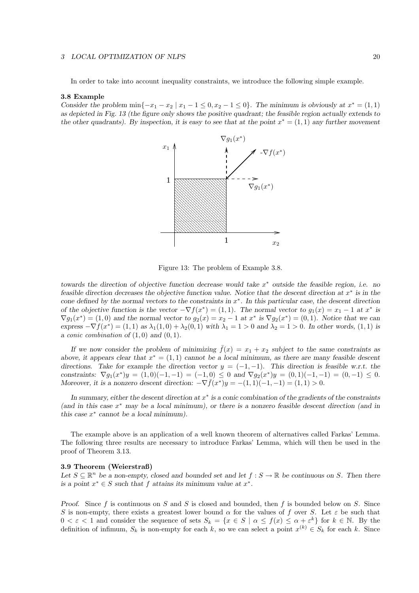#### 3 LOCAL OPTIMIZATION OF NLPS 20

In order to take into account inequality constraints, we introduce the following simple example.

#### 3.8 Example

Consider the problem  $\min\{-x_1 - x_2 \mid x_1 - 1 \leq 0, x_2 - 1 \leq 0\}$ . The minimum is obviously at  $x^* = (1, 1)$ as depicted in Fig. 13 (the figure only shows the positive quadrant; the feasible region actually extends to the other quadrants). By inspection, it is easy to see that at the point  $x^* = (1, 1)$  any further movement



Figure 13: The problem of Example 3.8.

towards the direction of objective function decrease would take  $x^*$  outside the feasible region, i.e. no feasible direction decreases the objective function value. Notice that the descent direction at  $x^*$  is in the cone defined by the normal vectors to the constraints in  $x^*$ . In this particular case, the descent direction of the objective function is the vector  $-\nabla f(x^*) = (1,1)$ . The normal vector to  $g_1(x) = x_1 - 1$  at  $x^*$  is  $\nabla g_1(x^*) = (1,0)$  and the normal vector to  $g_2(x) = x_2 - 1$  at  $x^*$  is  $\nabla g_2(x^*) = (0,1)$ . Notice that we can express  $-\nabla f(x^*) = (1,1)$  as  $\lambda_1(1,0) + \lambda_2(0,1)$  with  $\lambda_1 = 1 > 0$  and  $\lambda_2 = 1 > 0$ . In other words,  $(1,1)$  is a conic combination of  $(1,0)$  and  $(0,1)$ .

If we now consider the problem of minimizing  $\bar{f}(x) = x_1 + x_2$  subject to the same constraints as above, it appears clear that  $x^* = (1,1)$  cannot be a local minimum, as there are many feasible descent directions. Take for example the direction vector  $y = (-1, -1)$ . This direction is feasible w.r.t. the constraints:  $\nabla g_1(x^*)y = (1,0)(-1,-1) = (-1,0) \leq 0$  and  $\nabla g_2(x^*)y = (0,1)(-1,-1) = (0,-1) \leq 0$ . Moreover, it is a nonzero descent direction:  $-\nabla \bar{f}(x^*)y = -(1,1)(-1,-1) = (1,1) > 0$ .

In summary, either the descent direction at  $x^*$  is a conic combination of the gradients of the constraints (and in this case  $x^*$  may be a local minimum), or there is a nonzero feasible descent direction (and in this case  $x^*$  cannot be a local minimum).

The example above is an application of a well known theorem of alternatives called Farkas' Lemma. The following three results are necessary to introduce Farkas' Lemma, which will then be used in the proof of Theorem 3.13.

#### 3.9 Theorem (Weierstraß)

Let  $S \subseteq \mathbb{R}^n$  be a non-empty, closed and bounded set and let  $f : S \to \mathbb{R}$  be continuous on S. Then there is a point  $x^* \in S$  such that f attains its minimum value at  $x^*$ .

Proof. Since f is continuous on S and S is closed and bounded, then f is bounded below on S. Since S is non-empty, there exists a greatest lower bound  $\alpha$  for the values of f over S. Let  $\varepsilon$  be such that  $0 < \varepsilon < 1$  and consider the sequence of sets  $S_k = \{x \in S \mid \alpha \leq f(x) \leq \alpha + \varepsilon^k\}$  for  $k \in \mathbb{N}$ . By the definition of infimum,  $S_k$  is non-empty for each k, so we can select a point  $x^{(k)} \in S_k$  for each k. Since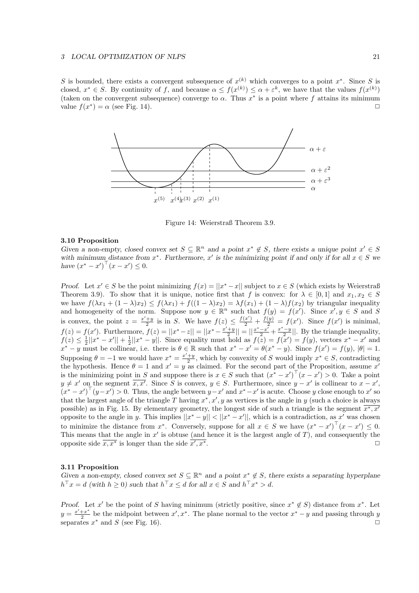S is bounded, there exists a convergent subsequence of  $x^{(k)}$  which converges to a point  $x^*$ . Since S is closed,  $x^* \in S$ . By continuity of f, and because  $\alpha \leq f(x^{(k)}) \leq \alpha + \varepsilon^k$ , we have that the values  $f(x^{(k)})$ (taken on the convergent subsequence) converge to  $\alpha$ . Thus  $x^*$  is a point where f attains its minimum value  $f(x^*) = \alpha$  (see Fig. 14).



Figure 14: Weierstraß Theorem 3.9.

#### 3.10 Proposition

Given a non-empty, closed convex set  $S \subseteq \mathbb{R}^n$  and a point  $x^* \notin S$ , there exists a unique point  $x' \in S$ with minimum distance from  $x^*$ . Furthermore,  $x'$  is the minimizing point if and only if for all  $x \in S$  we have  $(x^* - x')^{\top} (x - x') \leq 0$ .

Proof. Let  $x' \in S$  be the point minimizing  $f(x) = ||x^* - x||$  subject to  $x \in S$  (which exists by Weierstraß Theorem 3.9). To show that it is unique, notice first that f is convex: for  $\lambda \in [0,1]$  and  $x_1, x_2 \in S$ we have  $f(\lambda x_1 + (1 - \lambda)x_2) \leq f(\lambda x_1) + f((1 - \lambda)x_2) = \lambda f(x_1) + (1 - \lambda)f(x_2)$  by triangular inequality and homogeneity of the norm. Suppose now  $y \in \mathbb{R}^n$  such that  $f(y) = f(x')$ . Since  $x', y \in S$  and S is convex, the point  $z = \frac{x'+y}{2}$  is in S. We have  $f(z) \leq \frac{f(x')}{2} + \frac{f(y)}{2} = f(x')$ . Since  $f(x')$  is minimal,  $f(z) = f(x')$ . Furthermore,  $f(z) = ||x^* - z|| = ||x^* - \frac{x'+y}{2}|| = ||\frac{x^* - x'}{2} + \frac{x^* - y}{2}||$ . By the triangle inequality,  $f(z) \leq \frac{1}{2}||x^* - x'|| + \frac{1}{2}||x^* - y||$ . Since equality must hold as  $f(z) = f(x') = f(y)$ , vectors  $x^* - x'$  and  $x^* - y$  must be collinear, i.e. there is  $\theta \in \mathbb{R}$  such that  $x^* - x' = \theta(x^* - y)$ . Since  $f(x') = f(y)$ ,  $|\theta| = 1$ . Supposing  $\theta = -1$  we would have  $x^* = \frac{x'+y}{2}$ , which by convexity of S would imply  $x^* \in S$ , contradicting the hypothesis. Hence  $\theta = 1$  and  $x' = y$  as claimed. For the second part of the Proposition, assume x' is the minimizing point in S and suppose there is  $x \in S$  such that  $(x^* - x')^{\top} (x - x') > 0$ . Take a point  $y \neq x'$  on the segment  $\overline{x}, \overline{x'}$ . Since S is convex,  $y \in S$ . Furthermore, since  $y - x'$  is collinear to  $x - x'$ .  $(x^* - x')^\top (y - x') > 0$ . Thus, the angle between  $y - x'$  and  $x^* - x'$  is acute. Choose y close enough to x' so that the largest angle of the triangle T having  $x^*, x', y$  as vertices is the angle in y (such a choice is always possible) as in Fig. 15. By elementary geometry, the longest side of such a triangle is the segment  $\overline{x^*, x'}$ opposite to the angle in y. This implies  $||x^* - y|| < ||x^* - x'||$ , which is a contradiction, as x' was chosen to minimize the distance from  $x^*$ . Conversely, suppose for all  $x \in S$  we have  $(x^* - x')^\top (x - x') \leq 0$ . This means that the angle in  $x'$  is obtuse (and hence it is the largest angle of  $T$ ), and consequently the opposite side  $\overline{x}, \overline{x^*}$  is longer than the side  $\overline{x'}$  $\overline{y}$ ,  $x^*$ .

#### 3.11 Proposition

Given a non-empty, closed convex set  $S \subseteq \mathbb{R}^n$  and a point  $x^* \notin S$ , there exists a separating hyperplane  $h^{\top} x = d$  (with  $h \geq 0$ ) such that  $h^{\top} x \leq d$  for all  $x \in S$  and  $h^{\top} x^* > d$ .

Proof. Let x' be the point of S having minimum (strictly positive, since  $x^* \notin S$ ) distance from  $x^*$ . Let  $y=\frac{x'+x^*}{2}$  $\frac{+x^*}{2}$  be the midpoint between  $x', x^*$ . The plane normal to the vector  $x^* - y$  and passing through y separates  $x^*$  and  $S$  (see Fig. 16).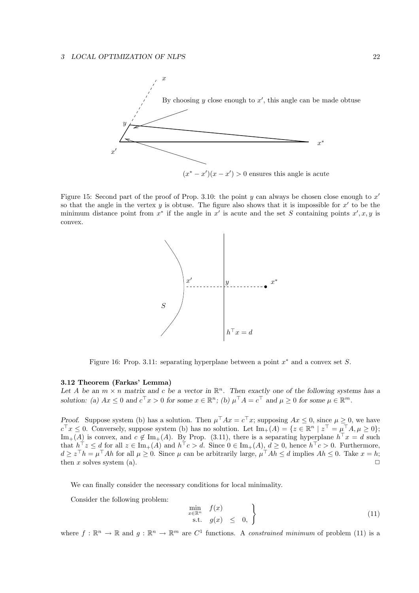

Figure 15: Second part of the proof of Prop. 3.10: the point  $y$  can always be chosen close enough to  $x'$ so that the angle in the vertex  $y$  is obtuse. The figure also shows that it is impossible for  $x'$  to be the minimum distance point from  $x^*$  if the angle in  $x'$  is acute and the set S containing points  $x', x, y$  is convex.



Figure 16: Prop. 3.11: separating hyperplane between a point  $x^*$  and a convex set S.

#### 3.12 Theorem (Farkas' Lemma)

Let A be an  $m \times n$  matrix and c be a vector in  $\mathbb{R}^n$ . Then exactly one of the following systems has a solution: (a)  $Ax \leq 0$  and  $c^{\top}x > 0$  for some  $x \in \mathbb{R}^n$ ; (b)  $\mu^{\top}A = c^{\top}$  and  $\mu \geq 0$  for some  $\mu \in \mathbb{R}^m$ .

Proof. Suppose system (b) has a solution. Then  $\mu^{\top}Ax = c^{\top}x$ ; supposing  $Ax \leq 0$ , since  $\mu \geq 0$ , we have  $c^{\top}x \leq 0$ . Conversely, suppose system (b) has no solution. Let  $\text{Im}_{+}(A) = \{z \in \mathbb{R}^{n} \mid z^{\top} = \mu^{\top}A, \mu \geq 0\};$ Im<sub>+</sub>(A) is convex, and  $c \notin \text{Im}_{+}(A)$ . By Prop. (3.11), there is a separating hyperplane  $h^{\top} x = d$  such that  $h^{\top}z \leq d$  for all  $z \in \text{Im}_{+}(A)$  and  $h^{\top}c > d$ . Since  $0 \in \text{Im}_{+}(A), d \geq 0$ , hence  $h^{\top}c > 0$ . Furthermore,  $d \geq z^{\top}h = \mu^{\top}Ah$  for all  $\mu \geq 0$ . Since  $\mu$  can be arbitrarily large,  $\mu^{\top}Ah \leq d$  implies  $Ah \leq 0$ . Take  $x = h$ ; then x solves system (a).  $\Box$ 

We can finally consider the necessary conditions for local minimality.

Consider the following problem:

$$
\begin{array}{c}\n\min_{x \in \mathbb{R}^n} \quad f(x) \\
\text{s.t.} \quad g(x) \leq 0, \quad\n\end{array} \tag{11}
$$

where  $f : \mathbb{R}^n \to \mathbb{R}$  and  $g : \mathbb{R}^n \to \mathbb{R}^m$  are  $C^1$  functions. A constrained minimum of problem (11) is a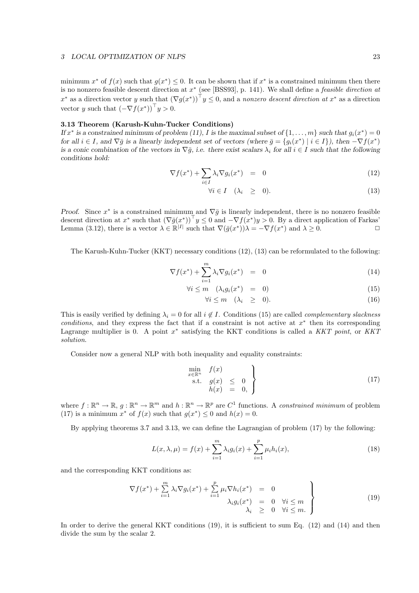minimum  $x^*$  of  $f(x)$  such that  $g(x^*) \leq 0$ . It can be shown that if  $x^*$  is a constrained minimum then there is no nonzero feasible descent direction at  $x^*$  (see [BSS93], p. 141). We shall define a *feasible direction at* x<sup>\*</sup> as a direction vector y such that  $(\nabla g(x^*))^\top y \leq 0$ , and a nonzero descent direction at x<sup>\*</sup> as a direction vector y such that  $(-\nabla f(x^*))^{\top} y > 0$ .

#### 3.13 Theorem (Karush-Kuhn-Tucker Conditions)

If  $x^*$  is a constrained minimum of problem (11), I is the maximal subset of  $\{1,\ldots,m\}$  such that  $g_i(x^*)=0$ for all  $i \in I$ , and  $\nabla \bar{g}$  is a linearly independent set of vectors (where  $\bar{g} = \{g_i(x^*) \mid i \in I\}$ ), then  $-\nabla f(x^*)$ is a conic combination of the vectors in  $\nabla \bar{g}$ , i.e. there exist scalars  $\lambda_i$  for all  $i \in I$  such that the following conditions hold:

$$
\nabla f(x^*) + \sum_{i \in I} \lambda_i \nabla g_i(x^*) = 0 \tag{12}
$$

$$
\forall i \in I \quad (\lambda_i \ge 0). \tag{13}
$$

Proof. Since  $x^*$  is a constrained minimum and  $\nabla \bar{g}$  is linearly independent, there is no nonzero feasible descent direction at  $x^*$  such that  $(\nabla \bar{g}(x^*))^\top y \leq 0$  and  $-\nabla f(x^*)y > 0$ . By a direct application of Farkas' Lemma (3.12), there is a vector  $\lambda \in \mathbb{R}^{|I|}$  such that  $\nabla(\bar{g}(x^*))\lambda = -\nabla f(x^*)$  and  $\lambda \geq 0$ .

The Karush-Kuhn-Tucker (KKT) necessary conditions (12), (13) can be reformulated to the following:

$$
\nabla f(x^*) + \sum_{i=1}^m \lambda_i \nabla g_i(x^*) = 0 \qquad (14)
$$

$$
\forall i \le m \quad (\lambda_i g_i(x^*) = 0) \tag{15}
$$

$$
\forall i \le m \quad (\lambda_i \ge 0). \tag{16}
$$

This is easily verified by defining  $\lambda_i = 0$  for all  $i \notin I$ . Conditions (15) are called *complementary slackness* conditions, and they express the fact that if a constraint is not active at  $x^*$  then its corresponding Lagrange multiplier is 0. A point  $x^*$  satisfying the KKT conditions is called a KKT point, or KKT solution.

Consider now a general NLP with both inequality and equality constraints:

$$
\begin{array}{ll}\n\min_{x \in \mathbb{R}^n} & f(x) \\
\text{s.t.} & g(x) \leq 0 \\
h(x) & = 0, \end{array} \tag{17}
$$

where  $f: \mathbb{R}^n \to \mathbb{R}, g: \mathbb{R}^n \to \mathbb{R}^m$  and  $h: \mathbb{R}^n \to \mathbb{R}^p$  are  $C^1$  functions. A constrained minimum of problem (17) is a minimum  $x^*$  of  $f(x)$  such that  $g(x^*) \leq 0$  and  $h(x) = 0$ .

By applying theorems 3.7 and 3.13, we can define the Lagrangian of problem (17) by the following:

$$
L(x, \lambda, \mu) = f(x) + \sum_{i=1}^{m} \lambda_i g_i(x) + \sum_{i=1}^{p} \mu_i h_i(x),
$$
\n(18)

and the corresponding KKT conditions as:

$$
\nabla f(x^*) + \sum_{i=1}^m \lambda_i \nabla g_i(x^*) + \sum_{i=1}^p \mu_i \nabla h_i(x^*) = 0
$$
  

$$
\lambda_i g_i(x^*) = 0 \quad \forall i \leq m
$$
  

$$
\lambda_i \geq 0 \quad \forall i \leq m.
$$
 (19)

In order to derive the general KKT conditions (19), it is sufficient to sum Eq. (12) and (14) and then divide the sum by the scalar 2.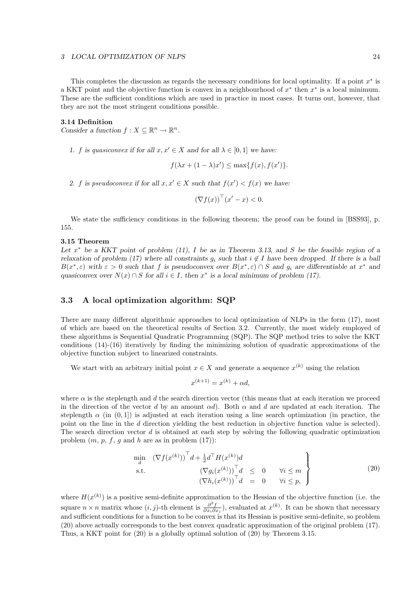#### 3 LOCAL OPTIMIZATION OF NLPS 24

This completes the discussion as regards the necessary conditions for local optimality. If a point  $x^*$  is a KKT point and the objective function is convex in a neighbourhood of  $x^*$  then  $x^*$  is a local minimum. These are the sufficient conditions which are used in practice in most cases. It turns out, however, that they are not the most stringent conditions possible.

#### 3.14 Definition

Consider a function  $f: X \subseteq \mathbb{R}^n \to \mathbb{R}^n$ .

1. f is quasiconvex if for all  $x, x' \in X$  and for all  $\lambda \in [0, 1]$  we have:

$$
f(\lambda x + (1 - \lambda)x') \le \max\{f(x), f(x')\}.
$$

2. f is pseudoconvex if for all  $x, x' \in X$  such that  $f(x') < f(x)$  we have:

$$
(\nabla f(x))^\top (x'-x) < 0.
$$

We state the sufficiency conditions in the following theorem; the proof can be found in [BSS93], p. 155.

#### 3.15 Theorem

Let  $x^*$  be a KKT point of problem (11), I be as in Theorem 3.13, and S be the feasible region of a relaxation of problem (17) where all constraints  $g_i$  such that  $i \notin I$  have been dropped. If there is a ball  $B(x^*, \varepsilon)$  with  $\varepsilon > 0$  such that f is pseudoconvex over  $B(x^*, \varepsilon) \cap S$  and  $g_i$  are differentiable at  $x^*$  and quasiconvex over  $N(x) \cap S$  for all  $i \in I$ , then  $x^*$  is a local minimum of problem (17).

## 3.3 A local optimization algorithm: SQP

There are many different algorithmic approaches to local optimization of NLPs in the form (17), most of which are based on the theoretical results of Section 3.2. Currently, the most widely employed of these algorithms is Sequential Quadratic Programming (SQP). The SQP method tries to solve the KKT conditions (14)-(16) iteratively by finding the minimizing solution of quadratic approximations of the objective function subject to linearized constraints.

We start with an arbitrary initial point  $x \in X$  and generate a sequence  $x^{(k)}$  using the relation

$$
x^{(k+1)} = x^{(k)} + \alpha d,
$$

where  $\alpha$  is the steplength and d the search direction vector (this means that at each iteration we proceed in the direction of the vector d by an amount  $\alpha d$ . Both  $\alpha$  and d are updated at each iteration. The steplength  $\alpha$  (in (0, 1)) is adjusted at each iteration using a line search optimization (in practice, the point on the line in the d direction yielding the best reduction in objective function value is selected). The search direction vector  $d$  is obtained at each step by solving the following quadratic optimization problem  $(m, p, f, g$  and h are as in problem  $(17)$ :

$$
\min_{d} \left( \nabla f(x^{(k)}) \right)^{\top} d + \frac{1}{2} d^{\top} H(x^{(k)}) d
$$
\n
$$
\text{s.t.} \left( \nabla g_i(x^{(k)}) \right)^{\top} d \leq 0 \quad \forall i \leq m
$$
\n
$$
\left( \nabla h_i(x^{(k)}) \right)^{\top} d = 0 \quad \forall i \leq p, \tag{20}
$$

where  $H(x^{(k)})$  is a positive semi-definite approximation to the Hessian of the objective function (i.e. the square  $n \times n$  matrix whose  $(i, j)$ -th element is  $\frac{\partial^2 f}{\partial x_i \partial x_j}$ , evaluated at  $x^{(k)}$ . It can be shown that necessary and sufficient conditions for a function to be convex is that its Hessian is positive semi-definite, so problem (20) above actually corresponds to the best convex quadratic approximation of the original problem (17). Thus, a KKT point for (20) is a globally optimal solution of (20) by Theorem 3.15.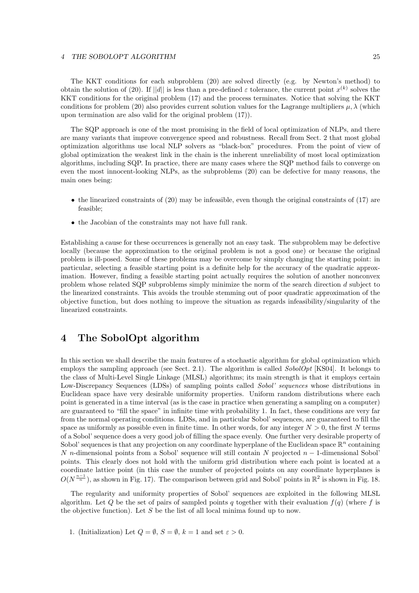#### 4 THE SOBOLOPT ALGORITHM 25

The KKT conditions for each subproblem (20) are solved directly (e.g. by Newton's method) to obtain the solution of (20). If ||d|| is less than a pre-defined  $\varepsilon$  tolerance, the current point  $x^{(k)}$  solves the KKT conditions for the original problem (17) and the process terminates. Notice that solving the KKT conditions for problem (20) also provides current solution values for the Lagrange multipliers  $\mu$ ,  $\lambda$  (which upon termination are also valid for the original problem (17)).

The SQP approach is one of the most promising in the field of local optimization of NLPs, and there are many variants that improve convergence speed and robustness. Recall from Sect. 2 that most global optimization algorithms use local NLP solvers as "black-box" procedures. From the point of view of global optimization the weakest link in the chain is the inherent unreliability of most local optimization algorithms, including SQP. In practice, there are many cases where the SQP method fails to converge on even the most innocent-looking NLPs, as the subproblems (20) can be defective for many reasons, the main ones being:

- the linearized constraints of  $(20)$  may be infeasible, even though the original constraints of  $(17)$  are feasible;
- the Jacobian of the constraints may not have full rank.

Establishing a cause for these occurrences is generally not an easy task. The subproblem may be defective locally (because the approximation to the original problem is not a good one) or because the original problem is ill-posed. Some of these problems may be overcome by simply changing the starting point: in particular, selecting a feasible starting point is a definite help for the accuracy of the quadratic approximation. However, finding a feasible starting point actually requires the solution of another nonconvex problem whose related SQP subproblems simply minimize the norm of the search direction d subject to the linearized constraints. This avoids the trouble stemming out of poor quadratic approximation of the objective function, but does nothing to improve the situation as regards infeasibility/singularity of the linearized constraints.

## 4 The SobolOpt algorithm

In this section we shall describe the main features of a stochastic algorithm for global optimization which employs the sampling approach (see Sect. 2.1). The algorithm is called  $SobolOpt$  [KS04]. It belongs to the class of Multi-Level Single Linkage (MLSL) algorithms; its main strength is that it employs certain Low-Discrepancy Sequences (LDSs) of sampling points called *Sobol' sequences* whose distributions in Euclidean space have very desirable uniformity properties. Uniform random distributions where each point is generated in a time interval (as is the case in practice when generating a sampling on a computer) are guaranteed to "fill the space" in infinite time with probability 1. In fact, these conditions are very far from the normal operating conditions. LDSs, and in particular Sobol' sequences, are guaranteed to fill the space as uniformly as possible even in finite time. In other words, for any integer  $N > 0$ , the first N terms of a Sobol' sequence does a very good job of filling the space evenly. One further very desirable property of Sobol' sequences is that any projection on any coordinate hyperplane of the Euclidean space  $\mathbb{R}^n$  containing N n-dimensional points from a Sobol' sequence will still contain N projected  $n-1$ -dimensional Sobol' points. This clearly does not hold with the uniform grid distribution where each point is located at a coordinate lattice point (in this case the number of projected points on any coordinate hyperplanes is  $O(N^{\frac{n-1}{n}})$ , as shown in Fig. 17). The comparison between grid and Sobol' points in  $\mathbb{R}^2$  is shown in Fig. 18.

The regularity and uniformity properties of Sobol' sequences are exploited in the following MLSL algorithm. Let Q be the set of pairs of sampled points q together with their evaluation  $f(q)$  (where f is the objective function). Let S be the list of all local minima found up to now.

1. (Initialization) Let  $Q = \emptyset$ ,  $S = \emptyset$ ,  $k = 1$  and set  $\varepsilon > 0$ .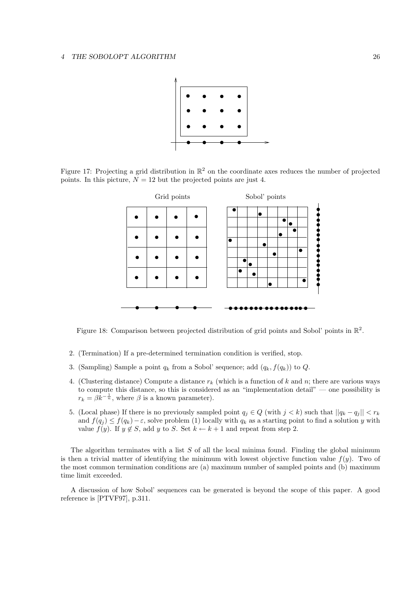

Figure 17: Projecting a grid distribution in  $\mathbb{R}^2$  on the coordinate axes reduces the number of projected points. In this picture,  $N = 12$  but the projected points are just 4.



Figure 18: Comparison between projected distribution of grid points and Sobol' points in  $\mathbb{R}^2$ .

- 2. (Termination) If a pre-determined termination condition is verified, stop.
- 3. (Sampling) Sample a point  $q_k$  from a Sobol' sequence; add  $(q_k, f(q_k))$  to  $Q$ .
- 4. (Clustering distance) Compute a distance  $r_k$  (which is a function of k and n; there are various ways to compute this distance, so this is considered as an "implementation detail" — one possibility is  $r_k = \beta k^{-\frac{1}{n}}$ , where  $\beta$  is a known parameter).
- 5. (Local phase) If there is no previously sampled point  $q_j \in Q$  (with  $j < k$ ) such that  $||q_k q_j|| < r_k$ and  $f(q_i) \leq f(q_k) - \varepsilon$ , solve problem (1) locally with  $q_k$  as a starting point to find a solution y with value  $f(y)$ . If  $y \notin S$ , add y to S. Set  $k \leftarrow k+1$  and repeat from step 2.

The algorithm terminates with a list  $S$  of all the local minima found. Finding the global minimum is then a trivial matter of identifying the minimum with lowest objective function value  $f(y)$ . Two of the most common termination conditions are (a) maximum number of sampled points and (b) maximum time limit exceeded.

A discussion of how Sobol' sequences can be generated is beyond the scope of this paper. A good reference is [PTVF97], p.311.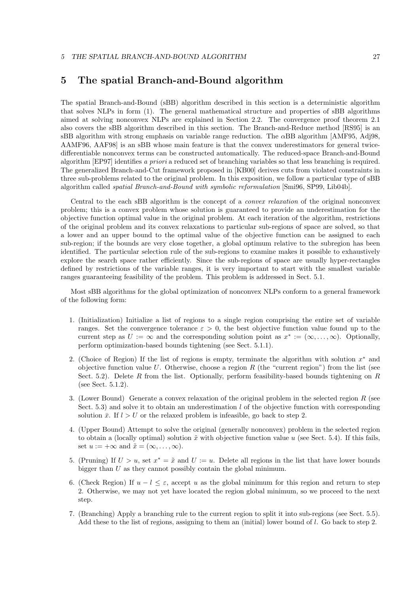## 5 The spatial Branch-and-Bound algorithm

The spatial Branch-and-Bound (sBB) algorithm described in this section is a deterministic algorithm that solves NLPs in form (1). The general mathematical structure and properties of sBB algorithms aimed at solving nonconvex NLPs are explained in Section 2.2. The convergence proof theorem 2.1 also covers the sBB algorithm described in this section. The Branch-and-Reduce method [RS95] is an sBB algorithm with strong emphasis on variable range reduction. The  $\alpha$ BB algorithm [AMF95, Adj98, AAMF96, AAF98] is an sBB whose main feature is that the convex underestimators for general twicedifferentiable nonconvex terms can be constructed automatically. The reduced-space Branch-and-Bound algorithm [EP97] identifies a priori a reduced set of branching variables so that less branching is required. The generalized Branch-and-Cut framework proposed in [KB00] derives cuts from violated constraints in three sub-problems related to the original problem. In this exposition, we follow a particular type of sBB algorithm called spatial Branch-and-Bound with symbolic reformulation [Smi96, SP99, Lib04b].

Central to the each sBB algorithm is the concept of a convex relaxation of the original nonconvex problem; this is a convex problem whose solution is guaranteed to provide an underestimation for the objective function optimal value in the original problem. At each iteration of the algorithm, restrictions of the original problem and its convex relaxations to particular sub-regions of space are solved, so that a lower and an upper bound to the optimal value of the objective function can be assigned to each sub-region; if the bounds are very close together, a global optimum relative to the subregion has been identified. The particular selection rule of the sub-regions to examine makes it possible to exhaustively explore the search space rather efficiently. Since the sub-regions of space are usually hyper-rectangles defined by restrictions of the variable ranges, it is very important to start with the smallest variable ranges guaranteeing feasibility of the problem. This problem is addressed in Sect. 5.1.

Most sBB algorithms for the global optimization of nonconvex NLPs conform to a general framework of the following form:

- 1. (Initialization) Initialize a list of regions to a single region comprising the entire set of variable ranges. Set the convergence tolerance  $\varepsilon > 0$ , the best objective function value found up to the current step as  $U := \infty$  and the corresponding solution point as  $x^* := (\infty, \dots, \infty)$ . Optionally, perform optimization-based bounds tightening (see Sect. 5.1.1).
- 2. (Choice of Region) If the list of regions is empty, terminate the algorithm with solution  $x^*$  and objective function value U. Otherwise, choose a region R (the "current region") from the list (see Sect. 5.2). Delete R from the list. Optionally, perform feasibility-based bounds tightening on  $R$ (see Sect. 5.1.2).
- 3. (Lower Bound) Generate a convex relaxation of the original problem in the selected region R (see Sect. 5.3) and solve it to obtain an underestimation  $l$  of the objective function with corresponding solution  $\bar{x}$ . If  $l > U$  or the relaxed problem is infeasible, go back to step 2.
- 4. (Upper Bound) Attempt to solve the original (generally nonconvex) problem in the selected region to obtain a (locally optimal) solution  $\tilde{x}$  with objective function value u (see Sect. 5.4). If this fails, set  $u := +\infty$  and  $\tilde{x} = (\infty, \ldots, \infty)$ .
- 5. (Pruning) If  $U > u$ , set  $x^* = \tilde{x}$  and  $U := u$ . Delete all regions in the list that have lower bounds bigger than U as they cannot possibly contain the global minimum.
- 6. (Check Region) If  $u l \leq \varepsilon$ , accept u as the global minimum for this region and return to step 2. Otherwise, we may not yet have located the region global minimum, so we proceed to the next step.
- 7. (Branching) Apply a branching rule to the current region to split it into sub-regions (see Sect. 5.5). Add these to the list of regions, assigning to them an (initial) lower bound of l. Go back to step 2.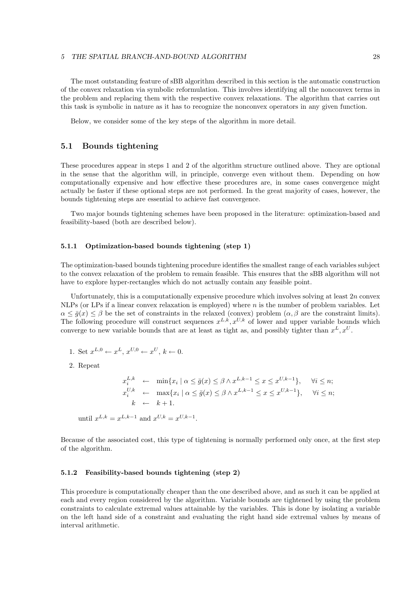#### 5 THE SPATIAL BRANCH-AND-BOUND ALGORITHM 28

The most outstanding feature of sBB algorithm described in this section is the automatic construction of the convex relaxation via symbolic reformulation. This involves identifying all the nonconvex terms in the problem and replacing them with the respective convex relaxations. The algorithm that carries out this task is symbolic in nature as it has to recognize the nonconvex operators in any given function.

Below, we consider some of the key steps of the algorithm in more detail.

## 5.1 Bounds tightening

These procedures appear in steps 1 and 2 of the algorithm structure outlined above. They are optional in the sense that the algorithm will, in principle, converge even without them. Depending on how computationally expensive and how effective these procedures are, in some cases convergence might actually be faster if these optional steps are not performed. In the great majority of cases, however, the bounds tightening steps are essential to achieve fast convergence.

Two major bounds tightening schemes have been proposed in the literature: optimization-based and feasibility-based (both are described below).

#### 5.1.1 Optimization-based bounds tightening (step 1)

The optimization-based bounds tightening procedure identifies the smallest range of each variables subject to the convex relaxation of the problem to remain feasible. This ensures that the sBB algorithm will not have to explore hyper-rectangles which do not actually contain any feasible point.

Unfortunately, this is a computationally expensive procedure which involves solving at least  $2n$  convex NLPs (or LPs if a linear convex relaxation is employed) where n is the number of problem variables. Let  $\alpha \leq \overline{g}(x) \leq \beta$  be the set of constraints in the relaxed (convex) problem  $(\alpha, \beta$  are the constraint limits). The following procedure will construct sequences  $x^{L,k}, x^{U,k}$  of lower and upper variable bounds which converge to new variable bounds that are at least as tight as, and possibly tighter than  $x^L, x^U$ .

- 1. Set  $x^{L,0} \leftarrow x^L, x^{U,0} \leftarrow x^U, k \leftarrow 0$ .
- 2. Repeat

$$
x_i^{L,k} \leftarrow \min\{x_i \mid \alpha \le \bar{g}(x) \le \beta \wedge x^{L,k-1} \le x \le x^{U,k-1}\}, \quad \forall i \le n;
$$
  
\n
$$
x_i^{U,k} \leftarrow \max\{x_i \mid \alpha \le \bar{g}(x) \le \beta \wedge x^{L,k-1} \le x \le x^{U,k-1}\}, \quad \forall i \le n;
$$
  
\n
$$
k \leftarrow k+1.
$$

until  $x^{L,k} = x^{L,k-1}$  and  $x^{U,k} = x^{U,k-1}$ .

Because of the associated cost, this type of tightening is normally performed only once, at the first step of the algorithm.

### 5.1.2 Feasibility-based bounds tightening (step 2)

This procedure is computationally cheaper than the one described above, and as such it can be applied at each and every region considered by the algorithm. Variable bounds are tightened by using the problem constraints to calculate extremal values attainable by the variables. This is done by isolating a variable on the left hand side of a constraint and evaluating the right hand side extremal values by means of interval arithmetic.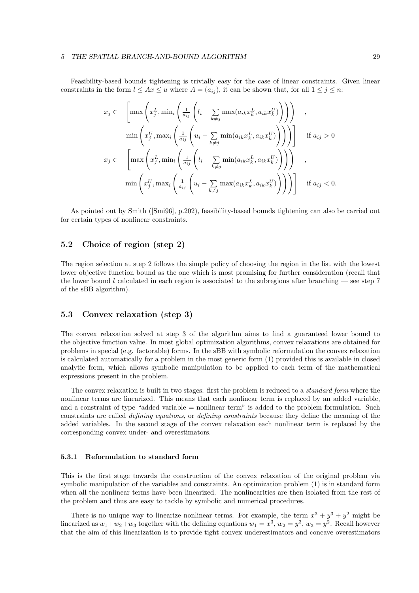Feasibility-based bounds tightening is trivially easy for the case of linear constraints. Given linear constraints in the form  $l \leq Ax \leq u$  where  $A = (a_{ij})$ , it can be shown that, for all  $1 \leq j \leq n$ :

$$
x_j \in \left[ \max \left( x_j^L, \min_i \left( \frac{1}{a_{ij}} \left( l_i - \sum_{k \neq j} \max(a_{ik} x_k^L, a_{ik} x_k^U) \right) \right) \right) \right],
$$
  

$$
\min \left( x_j^U, \max_i \left( \frac{1}{a_{ij}} \left( u_i - \sum_{k \neq j} \min(a_{ik} x_k^L, a_{ik} x_k^U) \right) \right) \right) \right] \quad \text{if } a_{ij} > 0
$$
  

$$
x_j \in \left[ \max \left( x_j^L, \min_i \left( \frac{1}{a_{ij}} \left( l_i - \sum_{k \neq j} \min(a_{ik} x_k^L, a_{ik} x_k^U) \right) \right) \right) \right],
$$
  

$$
\min \left( x_j^U, \max_i \left( \frac{1}{a_{ij}} \left( u_i - \sum_{k \neq j} \max(a_{ik} x_k^L, a_{ik} x_k^U) \right) \right) \right) \right] \quad \text{if } a_{ij} < 0.
$$

As pointed out by Smith ([Smi96], p.202), feasibility-based bounds tightening can also be carried out for certain types of nonlinear constraints.

## 5.2 Choice of region (step 2)

The region selection at step 2 follows the simple policy of choosing the region in the list with the lowest lower objective function bound as the one which is most promising for further consideration (recall that the lower bound l calculated in each region is associated to the subregions after branching  $-$  see step 7 of the sBB algorithm).

### 5.3 Convex relaxation (step 3)

The convex relaxation solved at step 3 of the algorithm aims to find a guaranteed lower bound to the objective function value. In most global optimization algorithms, convex relaxations are obtained for problems in special (e.g. factorable) forms. In the sBB with symbolic reformulation the convex relaxation is calculated automatically for a problem in the most generic form (1) provided this is available in closed analytic form, which allows symbolic manipulation to be applied to each term of the mathematical expressions present in the problem.

The convex relaxation is built in two stages: first the problem is reduced to a *standard form* where the nonlinear terms are linearized. This means that each nonlinear term is replaced by an added variable, and a constraint of type "added variable = nonlinear term" is added to the problem formulation. Such constraints are called defining equations, or defining constraints because they define the meaning of the added variables. In the second stage of the convex relaxation each nonlinear term is replaced by the corresponding convex under- and overestimators.

#### 5.3.1 Reformulation to standard form

This is the first stage towards the construction of the convex relaxation of the original problem via symbolic manipulation of the variables and constraints. An optimization problem (1) is in standard form when all the nonlinear terms have been linearized. The nonlinearities are then isolated from the rest of the problem and thus are easy to tackle by symbolic and numerical procedures.

There is no unique way to linearize nonlinear terms. For example, the term  $x^3 + y^3 + y^2$  might be linearized as  $w_1 + w_2 + w_3$  together with the defining equations  $w_1 = x^3$ ,  $w_2 = y^3$ ,  $w_3 = y^2$ . Recall however that the aim of this linearization is to provide tight convex underestimators and concave overestimators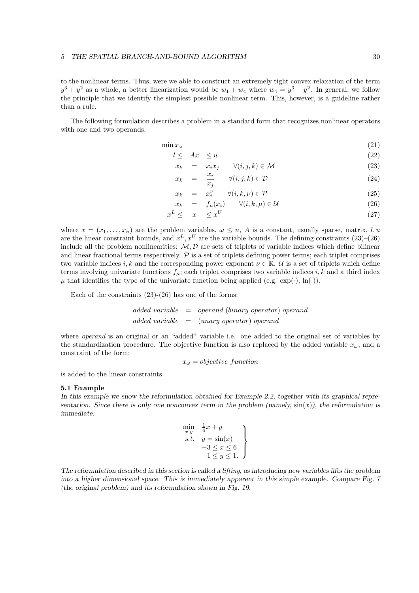to the nonlinear terms. Thus, were we able to construct an extremely tight convex relaxation of the term  $y^3 + y^2$  as a whole, a better linearization would be  $w_1 + w_4$  where  $w_4 = y^3 + y^2$ . In general, we follow the principle that we identify the simplest possible nonlinear term. This, however, is a guideline rather than a rule.

The following formulation describes a problem in a standard form that recognizes nonlinear operators with one and two operands.

$$
\min x_{\omega} \tag{21}
$$

$$
l \leq Ax \leq u \tag{22}
$$

$$
x_k = x_i x_j \qquad \forall (i, j, k) \in \mathcal{M}
$$
\n
$$
(23)
$$

$$
x_k = \frac{x_i}{x_j} \qquad \forall (i, j, k) \in \mathcal{D} \tag{24}
$$

$$
x_k = x_i^{\nu} \qquad \forall (i, k, \nu) \in \mathcal{P}
$$
\n
$$
(25)
$$

$$
x_k = f_\mu(x_i) \qquad \forall (i, k, \mu) \in \mathcal{U}
$$
\n
$$
x_{\mu} < x_{\mu} < x^U \tag{27}
$$

$$
x^L \leq x \leq x^U \tag{27}
$$

where  $x = (x_1, \ldots, x_n)$  are the problem variables,  $\omega \leq n$ , A is a constant, usually sparse, matrix, l, u are the linear constraint bounds, and  $x^L, x^U$  are the variable bounds. The defining constraints  $(23)$ – $(26)$ include all the problem nonlinearities:  $M, D$  are sets of triplets of variable indices which define bilinear and linear fractional terms respectively.  $P$  is a set of triplets defining power terms; each triplet comprises two variable indices i, k and the corresponding power exponent  $\nu \in \mathbb{R}$ . U is a set of triplets which define terms involving univariate functions  $f_{\mu}$ ; each triplet comprises two variable indices i, k and a third index  $\mu$  that identifies the type of the univariate function being applied (e.g.  $\exp(\cdot)$ ,  $\ln(\cdot)$ ).

Each of the constraints  $(23)-(26)$  has one of the forms:

 $added\ variable = operand\ (binary\ operator) \ operand$  $added\ variable = (unary\ operator) \ operand$ 

where *operand* is an original or an "added" variable i.e. one added to the original set of variables by the standardization procedure. The objective function is also replaced by the added variable  $x_{\omega}$ , and a constraint of the form:

$$
x_{\omega} = objective\ function
$$

is added to the linear constraints.

#### 5.1 Example

In this example we show the reformulation obtained for Example 2.2, together with its graphical representation. Since there is only one nonconvex term in the problem (namely,  $sin(x)$ ), the reformulation is immediate:

$$
\begin{array}{ll}\n\min x, & \frac{1}{4}x + y \\
\text{s.t.} & y = \sin(x) \\
-3 \le x \le 6 \\
-1 \le y \le 1.\n\end{array}
$$

The reformulation described in this section is called a lifting, as introducing new variables lifts the problem into a higher dimensional space. This is immediately apparent in this simple example. Compare Fig. 7 (the original problem) and its reformulation shown in Fig. 19.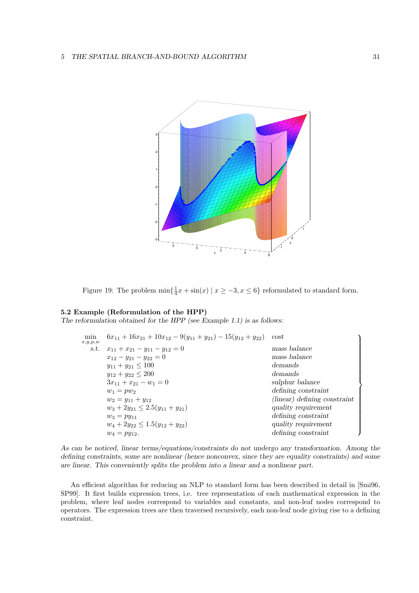

Figure 19: The problem  $\min\{\frac{1}{4}x + \sin(x) \mid x \geq -3, x \leq 6\}$  reformulated to standard form.

### 5.2 Example (Reformulation of the HPP)

The reformulation obtained for the HPP (see Example 1.1) is as follows:

| min<br>x,y,p,w | $6x_{11} + 16x_{21} + 10x_{12} - 9(y_{11} + y_{21}) - 15(y_{12} + y_{22})$ | cost                         |
|----------------|----------------------------------------------------------------------------|------------------------------|
|                | s.t. $x_{11} + x_{21} - y_{11} - y_{12} = 0$                               | mass balance                 |
|                | $x_{12} - y_{21} - y_{22} = 0$                                             | mass balance                 |
|                | $y_{11} + y_{21} \le 100$                                                  | demands                      |
|                | $y_{12} + y_{22} \leq 200$                                                 | demands                      |
|                | $3x_{11} + x_{21} - w_1 = 0$                                               | sulphur balance              |
|                | $w_1 = pw_2$                                                               | defining constraint          |
|                | $w_2 = y_{11} + y_{12}$                                                    | (linear) defining constraint |
|                | $w_3 + 2y_{21} \leq 2.5(y_{11} + y_{21})$                                  | quality requirement          |
|                | $w_3 = py_{11}$                                                            | defining constraint          |
|                | $w_4 + 2y_{22} \leq 1.5(y_{12} + y_{22})$                                  | quality requirement          |
|                | $w_4 = py_{12}.$                                                           | defining constraint          |

As can be noticed, linear terms/equations/constraints do not undergo any transformation. Among the defining constraints, some are nonlinear (hence nonconvex, since they are equality constraints) and some are linear. This conveniently splits the problem into a linear and a nonlinear part.

An efficient algorithm for reducing an NLP to standard form has been described in detail in [Smi96, SP99]. It first builds expression trees, i.e. tree representation of each mathematical expression in the problem, where leaf nodes correspond to variables and constants, and non-leaf nodes correspond to operators. The expression trees are then traversed recursively, each non-leaf node giving rise to a defining constraint.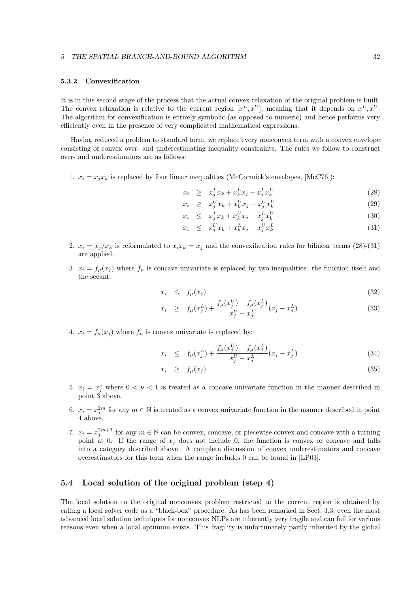#### 5 THE SPATIAL BRANCH-AND-BOUND ALGORITHM 32

### 5.3.2 Convexification

It is in this second stage of the process that the actual convex relaxation of the original problem is built. The convex relaxation is relative to the current region  $[x^L, x^U]$ , meaning that it depends on  $x^L, x^U$ . The algorithm for convexification is entirely symbolic (as opposed to numeric) and hence performs very efficiently even in the presence of very complicated mathematical expressions.

Having reduced a problem to standard form, we replace every nonconvex term with a convex envelope consisting of convex over- and underestimating inequality constraints. The rules we follow to construct over- and underestimators are as follows:

1.  $x_i = x_j x_k$  is replaced by four linear inequalities (McCormick's envelopes, [McC76]):

$$
x_i \geq x_j^L x_k + x_k^L x_j - x_j^L x_k^L \tag{28}
$$

$$
x_i \geq x_j^U x_k + x_k^U x_j - x_j^U x_k^U \tag{29}
$$

$$
x_i \leq x_j^L x_k + x_k^U x_j - x_j^L x_k^U \tag{30}
$$

$$
x_i \leq x_j^U x_k + x_k^L x_j - x_j^U x_k^L \tag{31}
$$

- 2.  $x_i = x_j/x_k$  is reformulated to  $x_i x_k = x_j$  and the convexification rules for bilinear terms (28)-(31) are applied.
- 3.  $x_i = f_\mu(x_i)$  where  $f_\mu$  is concave univariate is replaced by two inequalities: the function itself and the secant:

$$
x_i \leq f_{\mu}(x_j) \tag{32}
$$

$$
x_i \geq f_{\mu}(x_j^L) + \frac{f_{\mu}(x_j^U) - f_{\mu}(x_j^L)}{x_j^U - x_j^L}(x_j - x_j^L) \tag{33}
$$

4.  $x_i = f_\mu(x_j)$  where  $f_\mu$  is convex univariate is replaced by:

$$
x_i \leq f_{\mu}(x_j^L) + \frac{f_{\mu}(x_j^U) - f_{\mu}(x_j^L)}{x_j^U - x_j^L}(x_j - x_j^L) \tag{34}
$$

$$
x_i \geq f_{\mu}(x_j) \tag{35}
$$

- 5.  $x_i = x_j^{\nu}$  where  $0 < \nu < 1$  is treated as a concave univariate function in the manner described in point 3 above.
- 6.  $x_i = x_j^{2m}$  for any  $m \in \mathbb{N}$  is treated as a convex univariate function in the manner described in point 4 above.
- 7.  $x_i = x_j^{2m+1}$  for any  $m \in \mathbb{N}$  can be convex, concave, or piecewise convex and concave with a turning point at 0. If the range of  $x_j$  does not include 0, the function is convex or concave and falls into a category described above. A complete discussion of convex underestimators and concave overestimators for this term when the range includes 0 can be found in [LP03].

## 5.4 Local solution of the original problem (step 4)

The local solution to the original nonconvex problem restricted to the current region is obtained by calling a local solver code as a "black-box" procedure. As has been remarked in Sect. 3.3, even the most advanced local solution techniques for nonconvex NLPs are inherently very fragile and can fail for various reasons even when a local optimum exists. This fragility is unfortunately partly inherited by the global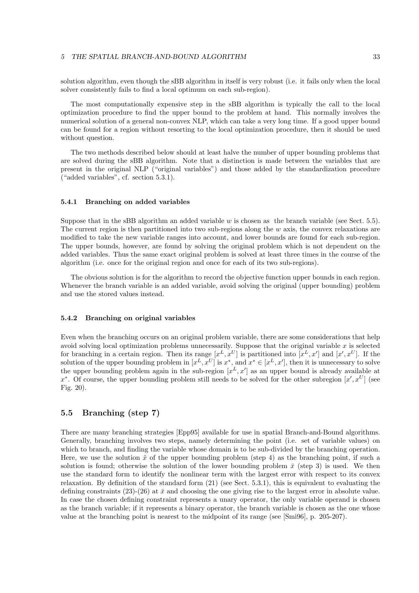solution algorithm, even though the sBB algorithm in itself is very robust (i.e. it fails only when the local solver consistently fails to find a local optimum on each sub-region).

The most computationally expensive step in the sBB algorithm is typically the call to the local optimization procedure to find the upper bound to the problem at hand. This normally involves the numerical solution of a general non-convex NLP, which can take a very long time. If a good upper bound can be found for a region without resorting to the local optimization procedure, then it should be used without question.

The two methods described below should at least halve the number of upper bounding problems that are solved during the sBB algorithm. Note that a distinction is made between the variables that are present in the original NLP ("original variables") and those added by the standardization procedure ("added variables", cf. section 5.3.1).

#### 5.4.1 Branching on added variables

Suppose that in the sBB algorithm an added variable w is chosen as the branch variable (see Sect. 5.5). The current region is then partitioned into two sub-regions along the  $w$  axis, the convex relaxations are modified to take the new variable ranges into account, and lower bounds are found for each sub-region. The upper bounds, however, are found by solving the original problem which is not dependent on the added variables. Thus the same exact original problem is solved at least three times in the course of the algorithm (i.e. once for the original region and once for each of its two sub-regions).

The obvious solution is for the algorithm to record the objective function upper bounds in each region. Whenever the branch variable is an added variable, avoid solving the original (upper bounding) problem and use the stored values instead.

#### 5.4.2 Branching on original variables

Even when the branching occurs on an original problem variable, there are some considerations that help avoid solving local optimization problems unnecessarily. Suppose that the original variable  $x$  is selected for branching in a certain region. Then its range  $[x^L, x^U]$  is partitioned into  $[x^L, x']$  and  $[x', x^U]$ . If the solution of the upper bounding problem in  $[x^L, x^U]$  is  $x^*$ , and  $x^* \in [x^L, x']$ , then it is unnecessary to solve the upper bounding problem again in the sub-region  $[x<sup>L</sup>, x']$  as an upper bound is already available at  $x^*$ . Of course, the upper bounding problem still needs to be solved for the other subregion  $[x', x^U]$  (see Fig. 20).

### 5.5 Branching (step 7)

There are many branching strategies [Epp95] available for use in spatial Branch-and-Bound algorithms. Generally, branching involves two steps, namely determining the point (i.e. set of variable values) on which to branch, and finding the variable whose domain is to be sub-divided by the branching operation. Here, we use the solution  $\tilde{x}$  of the upper bounding problem (step 4) as the branching point, if such a solution is found; otherwise the solution of the lower bounding problem  $\bar{x}$  (step 3) is used. We then use the standard form to identify the nonlinear term with the largest error with respect to its convex relaxation. By definition of the standard form (21) (see Sect. 5.3.1), this is equivalent to evaluating the defining constraints  $(23)-(26)$  at  $\bar{x}$  and choosing the one giving rise to the largest error in absolute value. In case the chosen defining constraint represents a unary operator, the only variable operand is chosen as the branch variable; if it represents a binary operator, the branch variable is chosen as the one whose value at the branching point is nearest to the midpoint of its range (see [Smi96], p. 205-207).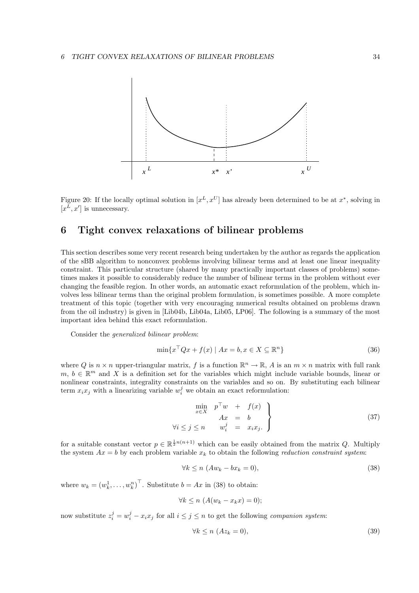

Figure 20: If the locally optimal solution in  $[x^L, x^U]$  has already been determined to be at  $x^*$ , solving in  $[x^L, x']$  is unnecessary.

## 6 Tight convex relaxations of bilinear problems

This section describes some very recent research being undertaken by the author as regards the application of the sBB algorithm to nonconvex problems involving bilinear terms and at least one linear inequality constraint. This particular structure (shared by many practically important classes of problems) sometimes makes it possible to considerably reduce the number of bilinear terms in the problem without ever changing the feasible region. In other words, an automatic exact reformulation of the problem, which involves less bilinear terms than the original problem formulation, is sometimes possible. A more complete treatment of this topic (together with very encouraging numerical results obtained on problems drawn from the oil industry) is given in [Lib04b, Lib04a, Lib05, LP06]. The following is a summary of the most important idea behind this exact reformulation.

Consider the generalized bilinear problem:

$$
\min \{ x^\top Q x + f(x) \mid Ax = b, x \in X \subseteq \mathbb{R}^n \}
$$
\n(36)

where Q is  $n \times n$  upper-triangular matrix, f is a function  $\mathbb{R}^n \to \mathbb{R}$ , A is an  $m \times n$  matrix with full rank  $m, b \in \mathbb{R}^m$  and X is a definition set for the variables which might include variable bounds, linear or nonlinear constraints, integrality constraints on the variables and so on. By substituting each bilinear term  $x_i x_j$  with a linearizing variable  $w_i^j$  we obtain an exact reformulation:

$$
\begin{array}{rcl}\n\min_{x \in X} & p^{\top} w & + & f(x) \\
 & Ax & = & b \\
\forall i \leq j \leq n & w_i^j & = & x_i x_j.\n\end{array}
$$
\n(37)

for a suitable constant vector  $p \in \mathbb{R}^{\frac{1}{2}n(n+1)}$  which can be easily obtained from the matrix Q. Multiply the system  $Ax = b$  by each problem variable  $x_k$  to obtain the following reduction constraint system:

$$
\forall k \le n \ (Aw_k - bx_k = 0), \tag{38}
$$

where  $w_k = (w_k^1, \dots, w_k^n)^\top$ . Substitute  $b = Ax$  in (38) to obtain:

$$
\forall k \le n \ (A(w_k - x_k x) = 0);
$$

now substitute  $z_i^j = w_i^j - x_i x_j$  for all  $i \leq j \leq n$  to get the following *companion system*:

$$
\forall k \le n \ (Az_k = 0), \tag{39}
$$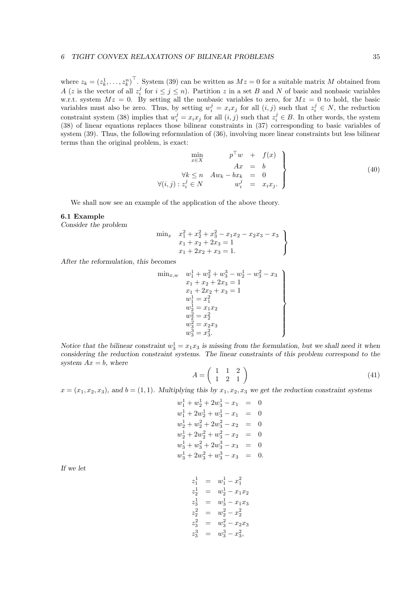where  $z_k = (z_k^1, \ldots, z_k^n)^\top$ . System (39) can be written as  $Mz = 0$  for a suitable matrix M obtained from A (z is the vector of all  $z_i^j$  for  $i \leq j \leq n$ ). Partition z in a set B and N of basic and nonbasic variables w.r.t. system  $Mz = 0$ . By setting all the nonbasic variables to zero, for  $Mz = 0$  to hold, the basic variables must also be zero. Thus, by setting  $w_i^j = x_i x_j$  for all  $(i, j)$  such that  $z_i^j \in N$ , the reduction constraint system (38) implies that  $w_i^j = x_i x_j$  for all  $(i, j)$  such that  $z_i^j \in B$ . In other words, the system (38) of linear equations replaces those bilinear constraints in (37) corresponding to basic variables of system (39). Thus, the following reformulation of (36), involving more linear constraints but less bilinear terms than the original problem, is exact:

$$
\begin{array}{ccc}\n\min_{x \in X} & p^{\top}w + f(x) \\
Ax = b \\
\forall k \le n \quad Aw_k - bx_k = 0 \\
\forall (i, j) : z_i^j \in N & w_i^j = x_i x_j.\n\end{array} \tag{40}
$$

We shall now see an example of the application of the above theory.

#### 6.1 Example

Consider the problem

$$
\begin{array}{ll}\n\min_x & x_1^2 + x_2^2 + x_3^2 - x_1 x_2 - x_2 x_3 - x_3 \\
& x_1 + x_2 + 2x_3 = 1 \\
& x_1 + 2x_2 + x_3 = 1.\n\end{array}
$$

After the reformulation, this becomes

$$
\begin{array}{ll}\min_{x,w} & w_1^1+w_2^2+w_3^3-w_2^1-w_3^2-x_3\\ & x_1+x_2+2x_3=1\\ & x_1+2x_2+x_3=1\\ & w_1^1=x_1^2\\ & w_2^1=x_1x_2\\ & w_2^2=x_2^2\\ & w_3^2=x_2x_3\\ & w_3^3=x_3^2.\end{array}\bigg\}
$$

Notice that the bilinear constraint  $w_3^1 = x_1x_3$  is missing from the formulation, but we shall need it when considering the reduction constraint systems. The linear constraints of this problem correspond to the system  $Ax = b$ , where

$$
A = \left(\begin{array}{ccc} 1 & 1 & 2 \\ 1 & 2 & 1 \end{array}\right) \tag{41}
$$

 $x = (x_1, x_2, x_3)$ , and  $b = (1, 1)$ . Multiplying this by  $x_1, x_2, x_3$  we get the reduction constraint systems

$$
w_1^1 + w_2^1 + 2w_3^1 - x_1 = 0
$$
  
\n
$$
w_1^1 + 2w_2^1 + w_3^1 - x_1 = 0
$$
  
\n
$$
w_2^1 + w_2^2 + 2w_3^2 - x_2 = 0
$$
  
\n
$$
w_2^1 + 2w_2^2 + w_3^2 - x_2 = 0
$$
  
\n
$$
w_3^1 + w_3^2 + 2w_3^3 - x_3 = 0
$$
  
\n
$$
w_3^1 + 2w_3^2 + w_3^3 - x_3 = 0.
$$

If we let

$$
\begin{array}{rcl} z_1^1 & = & w_1^1 - x_1^2 \\ z_2^1 & = & w_2^1 - x_1 x_2 \\ z_3^1 & = & w_3^1 - x_1 x_3 \\ z_2^2 & = & w_2^2 - x_2^2 \\ z_3^2 & = & w_3^2 - x_2 x_3 \\ z_3^3 & = & w_3^3 - x_3^2, \end{array}
$$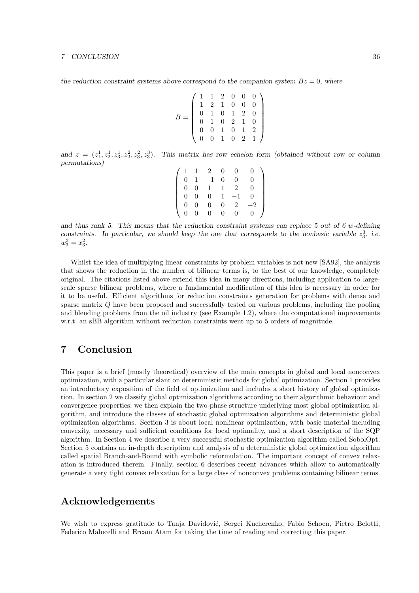the reduction constraint systems above correspond to the companion system  $Bz = 0$ , where

$$
B = \left(\begin{array}{cccccc} 1 & 1 & 2 & 0 & 0 & 0 \\ 1 & 2 & 1 & 0 & 0 & 0 \\ 0 & 1 & 0 & 1 & 2 & 0 \\ 0 & 1 & 0 & 2 & 1 & 0 \\ 0 & 0 & 1 & 0 & 1 & 2 \\ 0 & 0 & 1 & 0 & 2 & 1 \end{array}\right)
$$

and  $z = (z_1^1, z_2^1, z_3^1, z_2^2, z_3^2, z_3^3)$ . This matrix has row echelon form (obtained without row or column permutations)

|                  |          | -2              | 0 |          |  |
|------------------|----------|-----------------|---|----------|--|
| $\theta$         |          |                 | 0 | $\Omega$ |  |
| 0                | $\Omega$ |                 |   | 2        |  |
| 0                | $\Omega$ | $\vert 0 \vert$ |   |          |  |
| $\boldsymbol{0}$ |          | 0               | 0 | 2        |  |
|                  |          | D               | 0 |          |  |

and thus rank 5. This means that the reduction constraint systems can replace 5 out of 6 w-defining constraints. In particular, we should keep the one that corresponds to the nonbasic variable  $z_3^3$ , i.e.  $w_3^3 = x_3^2.$ 

Whilst the idea of multiplying linear constraints by problem variables is not new [SA92], the analysis that shows the reduction in the number of bilinear terms is, to the best of our knowledge, completely original. The citations listed above extend this idea in many directions, including application to largescale sparse bilinear problems, where a fundamental modification of this idea is necessary in order for it to be useful. Efficient algorithms for reduction constraints generation for problems with dense and sparse matrix Q have been proposed and successfully tested on various problems, including the pooling and blending problems from the oil industry (see Example 1.2), where the computational improvements w.r.t. an sBB algorithm without reduction constraints went up to 5 orders of magnitude.

## 7 Conclusion

This paper is a brief (mostly theoretical) overview of the main concepts in global and local nonconvex optimization, with a particular slant on deterministic methods for global optimization. Section 1 provides an introductory exposition of the field of optimization and includes a short history of global optimization. In section 2 we classify global optimization algorithms according to their algorithmic behaviour and convergence properties; we then explain the two-phase structure underlying most global optimization algorithm, and introduce the classes of stochastic global optimization algorithms and deterministic global optimization algorithms. Section 3 is about local nonlinear optimization, with basic material including convexity, necessary and sufficient conditions for local optimality, and a short description of the SQP algorithm. In Section 4 we describe a very successful stochastic optimization algorithm called SobolOpt. Section 5 contains an in-depth description and analysis of a deterministic global optimization algorithm called spatial Branch-and-Bound with symbolic reformulation. The important concept of convex relaxation is introduced therein. Finally, section 6 describes recent advances which allow to automatically generate a very tight convex relaxation for a large class of nonconvex problems containing bilinear terms.

## Acknowledgements

We wish to express gratitude to Tanja Davidović, Sergei Kucherenko, Fabio Schoen, Pietro Belotti, Federico Malucelli and Ercam Atam for taking the time of reading and correcting this paper.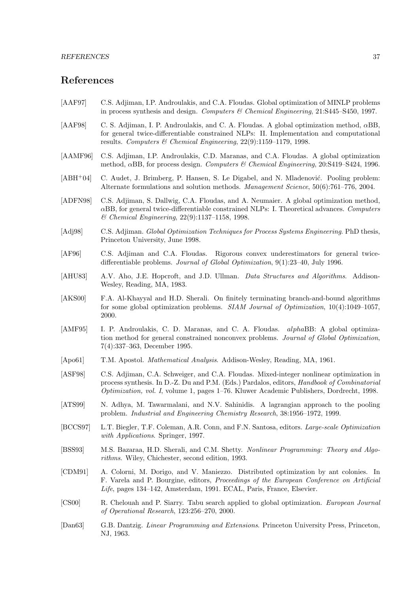## References

- [AAF97] C.S. Adjiman, I.P. Androulakis, and C.A. Floudas. Global optimization of MINLP problems in process synthesis and design. Computers & Chemical Engineering, 21:S445–S450, 1997.
- [AAF98] C. S. Adjiman, I. P. Androulakis, and C. A. Floudas. A global optimization method, αBB, for general twice-differentiable constrained NLPs: II. Implementation and computational results. Computers & Chemical Engineering, 22(9):1159–1179, 1998.
- [AAMF96] C.S. Adjiman, I.P. Androulakis, C.D. Maranas, and C.A. Floudas. A global optimization method, αBB, for process design. Computers & Chemical Engineering, 20:S419–S424, 1996.
- [ABH<sup>+</sup>04] C. Audet, J. Brimberg, P. Hansen, S. Le Digabel, and N. Mladenović. Pooling problem: Alternate formulations and solution methods. Management Science, 50(6):761–776, 2004.
- [ADFN98] C.S. Adjiman, S. Dallwig, C.A. Floudas, and A. Neumaier. A global optimization method,  $\alpha$ BB, for general twice-differentiable constrained NLPs: I. Theoretical advances. Computers & Chemical Engineering, 22(9):1137–1158, 1998.
- [Adj98] C.S. Adjiman. Global Optimization Techniques for Process Systems Engineering. PhD thesis, Princeton University, June 1998.
- [AF96] C.S. Adjiman and C.A. Floudas. Rigorous convex underestimators for general twicedifferentiable problems. Journal of Global Optimization, 9(1):23–40, July 1996.
- [AHU83] A.V. Aho, J.E. Hopcroft, and J.D. Ullman. *Data Structures and Algorithms*. Addison-Wesley, Reading, MA, 1983.
- [AKS00] F.A. Al-Khayyal and H.D. Sherali. On finitely terminating branch-and-bound algorithms for some global optimization problems. SIAM Journal of Optimization, 10(4):1049–1057, 2000.
- [AMF95] I. P. Androulakis, C. D. Maranas, and C. A. Floudas. alphaBB: A global optimization method for general constrained nonconvex problems. Journal of Global Optimization, 7(4):337–363, December 1995.
- [Apo61] T.M. Apostol. Mathematical Analysis. Addison-Wesley, Reading, MA, 1961.
- [ASF98] C.S. Adjiman, C.A. Schweiger, and C.A. Floudas. Mixed-integer nonlinear optimization in process synthesis. In D.-Z. Du and P.M. (Eds.) Pardalos, editors, Handbook of Combinatorial Optimization, vol. I, volume 1, pages 1–76. Kluwer Academic Publishers, Dordrecht, 1998.
- [ATS99] N. Adhya, M. Tawarmalani, and N.V. Sahinidis. A lagrangian approach to the pooling problem. Industrial and Engineering Chemistry Research, 38:1956–1972, 1999.
- [BCCS97] L.T. Biegler, T.F. Coleman, A.R. Conn, and F.N. Santosa, editors. Large-scale Optimization with Applications. Springer, 1997.
- [BSS93] M.S. Bazaraa, H.D. Sherali, and C.M. Shetty. Nonlinear Programming: Theory and Algorithms. Wiley, Chichester, second edition, 1993.
- [CDM91] A. Colorni, M. Dorigo, and V. Maniezzo. Distributed optimization by ant colonies. In F. Varela and P. Bourgine, editors, Proceedings of the European Conference on Artificial Life, pages 134–142, Amsterdam, 1991. ECAL, Paris, France, Elsevier.
- [CS00] R. Chelouah and P. Siarry. Tabu search applied to global optimization. European Journal of Operational Research, 123:256–270, 2000.
- [Dan63] G.B. Dantzig. Linear Programming and Extensions. Princeton University Press, Princeton, NJ, 1963.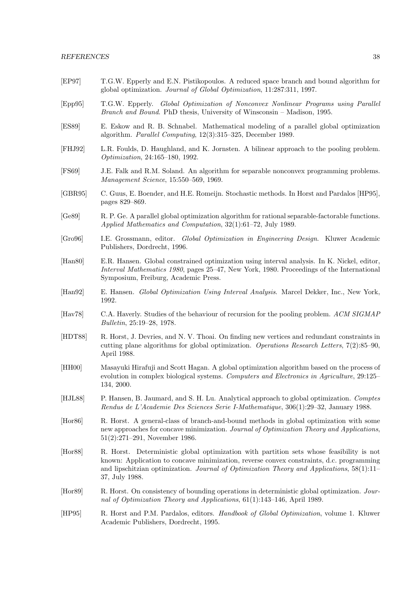- [EP97] T.G.W. Epperly and E.N. Pistikopoulos. A reduced space branch and bound algorithm for global optimization. Journal of Global Optimization, 11:287:311, 1997.
- [Epp95] T.G.W. Epperly. Global Optimization of Nonconvex Nonlinear Programs using Parallel Branch and Bound. PhD thesis, University of Winsconsin – Madison, 1995.
- [ES89] E. Eskow and R. B. Schnabel. Mathematical modeling of a parallel global optimization algorithm. Parallel Computing, 12(3):315–325, December 1989.
- [FHJ92] L.R. Foulds, D. Haughland, and K. Jornsten. A bilinear approach to the pooling problem. Optimization, 24:165–180, 1992.
- [FS69] J.E. Falk and R.M. Soland. An algorithm for separable nonconvex programming problems. Management Science, 15:550–569, 1969.
- [GBR95] C. Guus, E. Boender, and H.E. Romeijn. Stochastic methods. In Horst and Pardalos [HP95], pages 829–869.
- [Ge89] R. P. Ge. A parallel global optimization algorithm for rational separable-factorable functions. Applied Mathematics and Computation, 32(1):61–72, July 1989.
- [Gro96] I.E. Grossmann, editor. Global Optimization in Engineering Design. Kluwer Academic Publishers, Dordrecht, 1996.
- [Han80] E.R. Hansen. Global constrained optimization using interval analysis. In K. Nickel, editor, Interval Mathematics 1980, pages 25–47, New York, 1980. Proceedings of the International Symposium, Freiburg, Academic Press.
- [Han92] E. Hansen. Global Optimization Using Interval Analysis. Marcel Dekker, Inc., New York, 1992.
- [Hav78] C.A. Haverly. Studies of the behaviour of recursion for the pooling problem. ACM SIGMAP Bulletin, 25:19–28, 1978.
- [HDT88] R. Horst, J. Devries, and N. V. Thoai. On finding new vertices and redundant constraints in cutting plane algorithms for global optimization. Operations Research Letters,  $7(2):85-90$ , April 1988.
- [HH00] Masayuki Hirafuji and Scott Hagan. A global optimization algorithm based on the process of evolution in complex biological systems. Computers and Electronics in Agriculture, 29:125– 134, 2000.
- [HJL88] P. Hansen, B. Jaumard, and S. H. Lu. Analytical approach to global optimization. Comptes Rendus de L'Academie Des Sciences Serie I-Mathematique, 306(1):29–32, January 1988.
- [Hor86] R. Horst. A general-class of branch-and-bound methods in global optimization with some new approaches for concave minimization. Journal of Optimization Theory and Applications, 51(2):271–291, November 1986.
- [Hor88] R. Horst. Deterministic global optimization with partition sets whose feasibility is not known: Application to concave minimization, reverse convex constraints, d.c. programming and lipschitzian optimization. Journal of Optimization Theory and Applications,  $58(1):11-$ 37, July 1988.
- [Hor89] R. Horst. On consistency of bounding operations in deterministic global optimization. Journal of Optimization Theory and Applications, 61(1):143–146, April 1989.
- [HP95] R. Horst and P.M. Pardalos, editors. Handbook of Global Optimization, volume 1. Kluwer Academic Publishers, Dordrecht, 1995.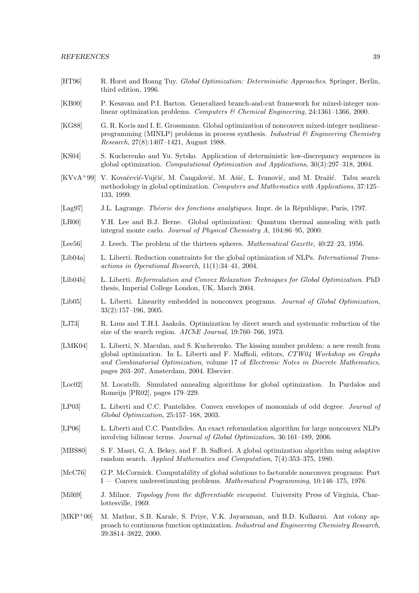- [HT96] R. Horst and Hoang Tuy. *Global Optimization: Deterministic Approaches*. Springer, Berlin, third edition, 1996.
- [KB00] P. Kesavan and P.I. Barton. Generalized branch-and-cut framework for mixed-integer nonlinear optimization problems. Computers & Chemical Engineering, 24:1361–1366, 2000.
- [KG88] G. R. Kocis and I. E. Grossmann. Global optimization of nonconvex mixed-integer nonlinearprogramming (MINLP) problems in process synthesis. Industrial  $\mathcal C$  Engineering Chemistry Research, 27(8):1407–1421, August 1988.
- [KS04] S. Kucherenko and Yu. Sytsko. Application of deterministic low-discrepancy sequences in global optimization. Computational Optimization and Applications, 30(3):297–318, 2004.
- $[KVvA+99]$  V. Kovačević-Vujčić, M. Čangalović, M. Ašić, L. Ivanović, and M. Dražić. Tabu search methodology in global optimization. Computers and Mathematics with Applications, 37:125– 133, 1999.
- [Lag97] J.L. Lagrange. Théorie des fonctions analytiques. Impr. de la République, Paris, 1797.
- [LB00] Y.H. Lee and B.J. Berne. Global optimization: Quantum thermal annealing with path integral monte carlo. Journal of Physical Chemistry A, 104:86–95, 2000.
- [Lee56] J. Leech. The problem of the thirteen spheres. Mathematical Gazette, 40:22–23, 1956.
- [Lib04a] L. Liberti. Reduction constraints for the global optimization of NLPs. International Transactions in Operational Research, 11(1):34–41, 2004.
- [Lib04b] L. Liberti. Reformulation and Convex Relaxation Techniques for Global Optimization. PhD thesis, Imperial College London, UK, March 2004.
- [Lib05] L. Liberti. Linearity embedded in nonconvex programs. *Journal of Global Optimization*, 33(2):157–196, 2005.
- [LJ73] R. Luus and T.H.I. Jaakola. Optimization by direct search and systematic reduction of the size of the search region. AIChE Journal, 19:760–766, 1973.
- [LMK04] L. Liberti, N. Maculan, and S. Kucherenko. The kissing number problem: a new result from global optimization. In L. Liberti and F. Maffioli, editors, CTW04 Workshop on Graphs and Combinatorial Optimization, volume 17 of Electronic Notes in Discrete Mathematics, pages 203–207, Amsterdam, 2004. Elsevier.
- [Loc02] M. Locatelli. Simulated annealing algorithms for global optimization. In Pardalos and Romeijn [PR02], pages 179–229.
- [LP03] L. Liberti and C.C. Pantelides. Convex envelopes of monomials of odd degree. *Journal of* Global Optimization, 25:157–168, 2003.
- [LP06] L. Liberti and C.C. Pantelides. An exact reformulation algorithm for large nonconvex NLPs involving bilinear terms. Journal of Global Optimization, 36:161–189, 2006.
- [MBS80] S. F. Masri, G. A. Bekey, and F. B. Safford. A global optimization algorithm using adaptive random search. Applied Mathematics and Computation, 7(4):353–375, 1980.
- [McC76] G.P. McCormick. Computability of global solutions to factorable nonconvex programs: Part I — Convex underestimating problems. Mathematical Programming, 10:146–175, 1976.
- [Mil69] J. Milnor. *Topology from the differentiable viewpoint*. University Press of Virginia, Charlottesville, 1969.
- [MKP+00] M. Mathur, S.B. Karale, S. Priye, V.K. Jayaraman, and B.D. Kulkarni. Ant colony approach to continuous function optimization. Industrial and Engineering Chemistry Research, 39:3814–3822, 2000.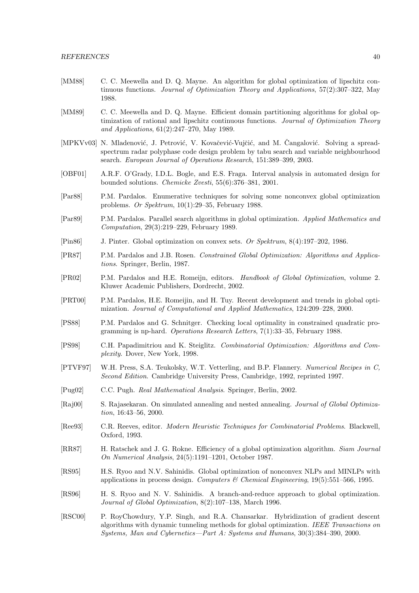- [MM88] C. C. Meewella and D. Q. Mayne. An algorithm for global optimization of lipschitz continuous functions. Journal of Optimization Theory and Applications, 57(2):307–322, May 1988.
- [MM89] C. C. Meewella and D. Q. Mayne. Efficient domain partitioning algorithms for global optimization of rational and lipschitz continuous functions. Journal of Optimization Theory and Applications, 61(2):247–270, May 1989.
- [MPKVv03] N. Mladenović, J. Petrović, V. Kovačević-Vujčić, and M. Čangalović. Solving a spreadspectrum radar polyphase code design problem by tabu search and variable neighbourhood search. European Journal of Operations Research, 151:389–399, 2003.
- [OBF01] A.R.F. O'Grady, I.D.L. Bogle, and E.S. Fraga. Interval analysis in automated design for bounded solutions. Chemicke Zvesti, 55(6):376–381, 2001.
- [Par88] P.M. Pardalos. Enumerative techniques for solving some nonconvex global optimization problems. Or Spektrum, 10(1):29–35, February 1988.
- [Par89] P.M. Pardalos. Parallel search algorithms in global optimization. Applied Mathematics and Computation, 29(3):219–229, February 1989.
- [Pin86] J. Pinter. Global optimization on convex sets. Or Spektrum, 8(4):197–202, 1986.
- [PR87] P.M. Pardalos and J.B. Rosen. Constrained Global Optimization: Algorithms and Applications. Springer, Berlin, 1987.
- [PR02] P.M. Pardalos and H.E. Romeijn, editors. Handbook of Global Optimization, volume 2. Kluwer Academic Publishers, Dordrecht, 2002.
- [PRT00] P.M. Pardalos, H.E. Romeijin, and H. Tuy. Recent development and trends in global optimization. Journal of Computational and Applied Mathematics, 124:209–228, 2000.
- [PS88] P.M. Pardalos and G. Schnitger. Checking local optimality in constrained quadratic programming is np-hard. Operations Research Letters, 7(1):33–35, February 1988.
- [PS98] C.H. Papadimitriou and K. Steiglitz. Combinatorial Optimization: Algorithms and Complexity. Dover, New York, 1998.
- [PTVF97] W.H. Press, S.A. Teukolsky, W.T. Vetterling, and B.P. Flannery. Numerical Recipes in C, Second Edition. Cambridge University Press, Cambridge, 1992, reprinted 1997.
- [Pug02] C.C. Pugh. Real Mathematical Analysis. Springer, Berlin, 2002.
- [Raj00] S. Rajasekaran. On simulated annealing and nested annealing. Journal of Global Optimization, 16:43–56, 2000.
- [Ree93] C.R. Reeves, editor. Modern Heuristic Techniques for Combinatorial Problems. Blackwell, Oxford, 1993.
- [RR87] H. Ratschek and J. G. Rokne. Efficiency of a global optimization algorithm. Siam Journal On Numerical Analysis, 24(5):1191–1201, October 1987.
- [RS95] H.S. Ryoo and N.V. Sahinidis. Global optimization of nonconvex NLPs and MINLPs with applications in process design. Computers & Chemical Engineering,  $19(5):551-566$ , 1995.
- [RS96] H. S. Ryoo and N. V. Sahinidis. A branch-and-reduce approach to global optimization. Journal of Global Optimization, 8(2):107–138, March 1996.
- [RSC00] P. RoyChowdury, Y.P. Singh, and R.A. Chansarkar. Hybridization of gradient descent algorithms with dynamic tunneling methods for global optimization. IEEE Transactions on Systems, Man and Cybernetics—Part A: Systems and Humans, 30(3):384–390, 2000.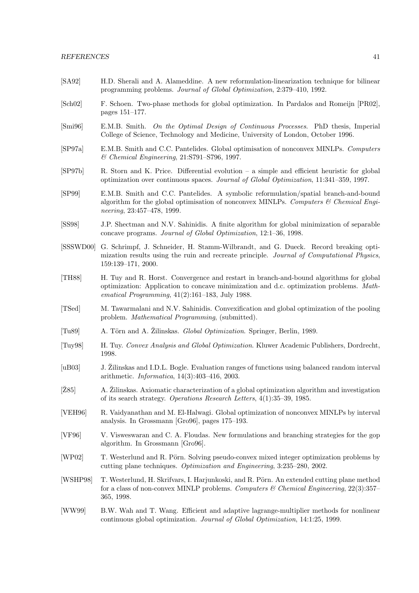- [SA92] H.D. Sherali and A. Alameddine. A new reformulation-linearization technique for bilinear programming problems. Journal of Global Optimization, 2:379–410, 1992.
- [Sch02] F. Schoen. Two-phase methods for global optimization. In Pardalos and Romeijn [PR02], pages 151–177.
- [Smi96] E.M.B. Smith. On the Optimal Design of Continuous Processes. PhD thesis, Imperial College of Science, Technology and Medicine, University of London, October 1996.
- [SP97a] E.M.B. Smith and C.C. Pantelides. Global optimisation of nonconvex MINLPs. Computers & Chemical Engineering, 21:S791–S796, 1997.
- [SP97b] R. Storn and K. Price. Differential evolution a simple and efficient heuristic for global optimization over continuous spaces. Journal of Global Optimization, 11:341–359, 1997.
- [SP99] E.M.B. Smith and C.C. Pantelides. A symbolic reformulation/spatial branch-and-bound algorithm for the global optimisation of nonconvex MINLPs. Computers  $\mathcal C$  Chemical Engineering, 23:457–478, 1999.
- [SS98] J.P. Shectman and N.V. Sahinidis. A finite algorithm for global minimization of separable concave programs. Journal of Global Optimization, 12:1–36, 1998.
- [SSSWD00] G. Schrimpf, J. Schneider, H. Stamm-Wilbrandt, and G. Dueck. Record breaking optimization results using the ruin and recreate principle. Journal of Computational Physics, 159:139–171, 2000.
- [TH88] H. Tuy and R. Horst. Convergence and restart in branch-and-bound algorithms for global optimization: Application to concave minimization and d.c. optimization problems. Mathematical Programming, 41(2):161–183, July 1988.
- [TSed] M. Tawarmalani and N.V. Sahinidis. Convexification and global optimization of the pooling problem. Mathematical Programming, (submitted).
- [Tu89] A. Törn and A. Zilinskas. *Global Optimization*. Springer, Berlin, 1989.
- [Tuy98] H. Tuy. Convex Analysis and Global Optimization. Kluwer Academic Publishers, Dordrecht, 1998.
- [uB03] J. Žilinskas and I.D.L. Bogle. Evaluation ranges of functions using balanced random interval arithmetic. Informatica, 14(3):403–416, 2003.
- $[\text{Z}85]$  A.  $\text{Zilinskas. Axiomatic characterization of a global optimization algorithm and investigation}$ of its search strategy. Operations Research Letters, 4(1):35–39, 1985.
- [VEH96] R. Vaidyanathan and M. El-Halwagi. Global optimization of nonconvex MINLPs by interval analysis. In Grossmann [Gro96], pages 175–193.
- [VF96] V. Visweswaran and C. A. Floudas. New formulations and branching strategies for the gop algorithm. In Grossmann [Gro96].
- [WP02] T. Westerlund and R. Pörn. Solving pseudo-convex mixed integer optimization problems by cutting plane techniques. Optimization and Engineering, 3:235–280, 2002.
- [WSHP98] T. Westerlund, H. Skrifvars, I. Harjunkoski, and R. Pörn. An extended cutting plane method for a class of non-convex MINLP problems. Computers & Chemical Engineering,  $22(3)$ :357– 365, 1998.
- [WW99] B.W. Wah and T. Wang. Efficient and adaptive lagrange-multiplier methods for nonlinear continuous global optimization. Journal of Global Optimization, 14:1:25, 1999.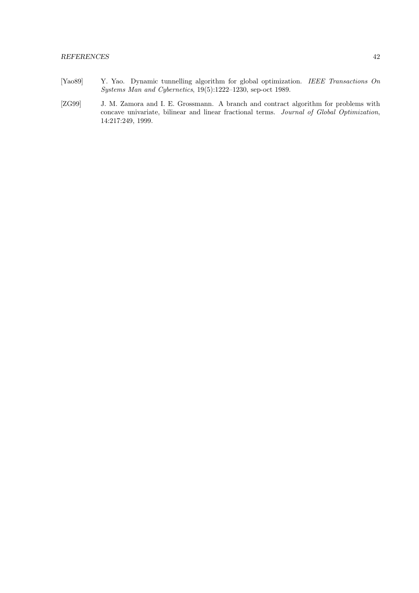#### REFERENCES 42

- [Yao89] Y. Yao. Dynamic tunnelling algorithm for global optimization. IEEE Transactions On Systems Man and Cybernetics, 19(5):1222–1230, sep-oct 1989.
- [ZG99] J. M. Zamora and I. E. Grossmann. A branch and contract algorithm for problems with concave univariate, bilinear and linear fractional terms. Journal of Global Optimization, 14:217:249, 1999.